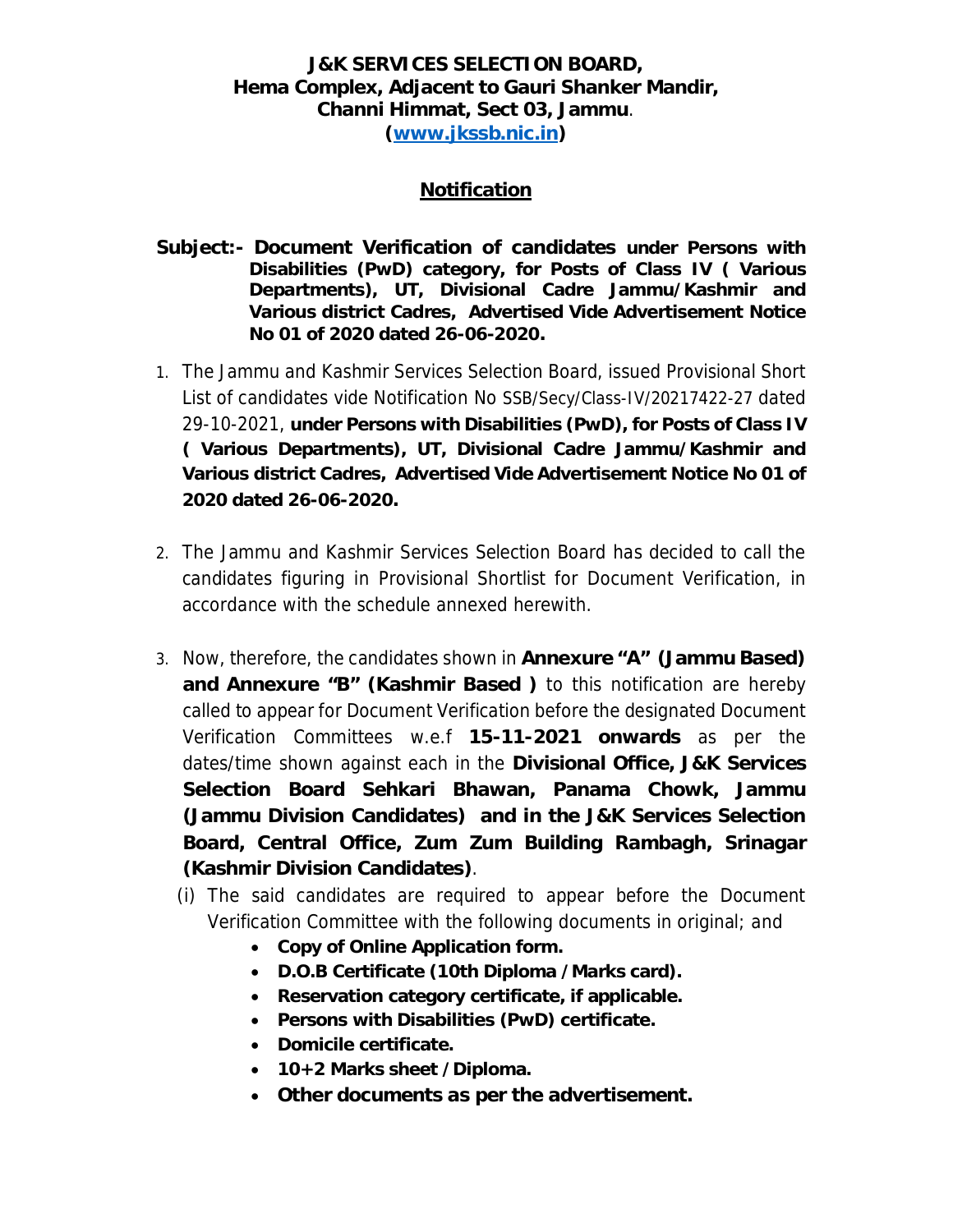## **J&K SERVICES SELECTION BOARD, Hema Complex, Adjacent to Gauri Shanker Mandir, Channi Himmat, Sect 03, Jammu**. **(www.jkssb.nic.in)**

## **Notification**

- **Subject:- Document Verification of candidates under Persons with Disabilities (PwD) category, for Posts of Class IV ( Various Departments), UT, Divisional Cadre Jammu/Kashmir and Various district Cadres, Advertised Vide Advertisement Notice No 01 of 2020 dated 26-06-2020.**
- 1. The Jammu and Kashmir Services Selection Board, issued Provisional Short List of candidates vide Notification No SSB/Secy/Class-IV/20217422-27 dated 29-10-2021, **under Persons with Disabilities (PwD), for Posts of Class IV ( Various Departments), UT, Divisional Cadre Jammu/Kashmir and Various district Cadres, Advertised Vide Advertisement Notice No 01 of 2020 dated 26-06-2020.**
- 2. The Jammu and Kashmir Services Selection Board has decided to call the candidates figuring in Provisional Shortlist for Document Verification, in accordance with the schedule annexed herewith.
- 3. Now, therefore, the candidates shown in **Annexure "A" (Jammu Based) and Annexure "B" (Kashmir Based )** to this notification are hereby called to appear for Document Verification before the designated Document Verification Committees w.e.f **15-11-2021 onwards** as per the dates/time shown against each in the **Divisional Office, J&K Services Selection Board Sehkari Bhawan, Panama Chowk, Jammu (Jammu Division Candidates) and in the J&K Services Selection Board, Central Office, Zum Zum Building Rambagh, Srinagar (Kashmir Division Candidates)**.
	- (i) The said candidates are required to appear before the Document Verification Committee with the following documents in original; and
		- x **Copy of Online Application form.**
		- x **D.O.B Certificate (10th Diploma /Marks card).**
		- **•** Reservation category certificate, if applicable.
		- **•** Persons with Disabilities (PwD) certificate.
		- x **Domicile certificate.**
		- x **10+2 Marks sheet /Diploma.**
		- x **Other documents as per the advertisement.**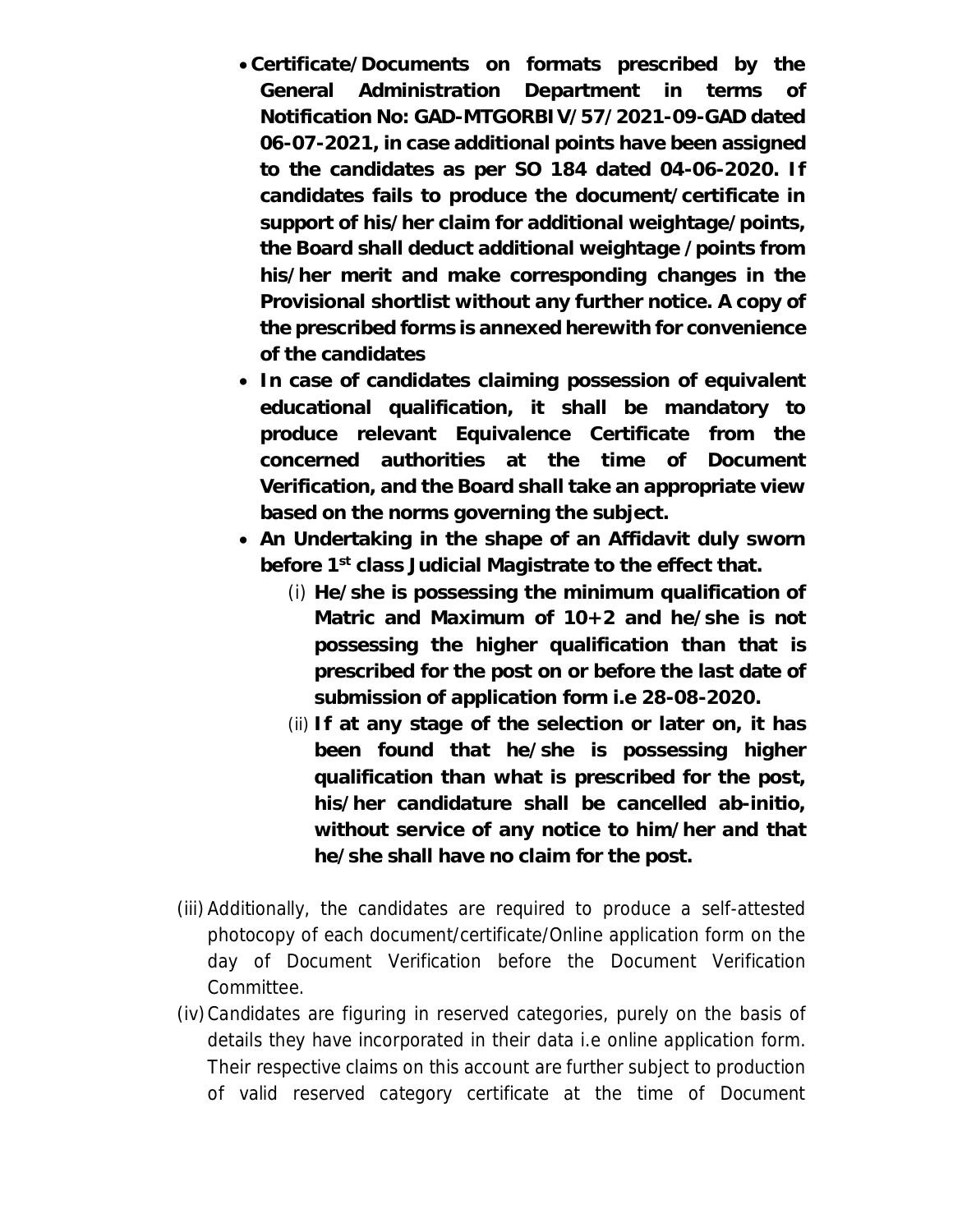- x **Certificate/Documents on formats prescribed by the General Administration Department in terms of Notification No: GAD-MTGORBIV/57/2021-09-GAD dated 06-07-2021, in case additional points have been assigned to the candidates as per SO 184 dated 04-06-2020. If candidates fails to produce the document/certificate in support of his/her claim for additional weightage/points, the Board shall deduct additional weightage /points from his/her merit and make corresponding changes in the Provisional shortlist without any further notice. A copy of the prescribed forms is annexed herewith for convenience of the candidates**
- In case of candidates claiming possession of equivalent **educational qualification, it shall be mandatory to produce relevant Equivalence Certificate from the concerned authorities at the time of Document Verification, and the Board shall take an appropriate view based on the norms governing the subject.**
- An Undertaking in the shape of an Affidavit duly sworn **before 1st class Judicial Magistrate to the effect that.**
	- (i) **He/she is possessing the minimum qualification of Matric and Maximum of 10+2 and he/she is not possessing the higher qualification than that is prescribed for the post on or before the last date of submission of application form i.e 28-08-2020.**
	- (ii) **If at any stage of the selection or later on, it has been found that he/she is possessing higher qualification than what is prescribed for the post, his/her candidature shall be cancelled ab-initio, without service of any notice to him/her and that he/she shall have no claim for the post.**
- (iii)Additionally, the candidates are required to produce a self-attested photocopy of each document/certificate/Online application form on the day of Document Verification before the Document Verification Committee.
- (iv)Candidates are figuring in reserved categories, purely on the basis of details they have incorporated in their data i.e online application form. Their respective claims on this account are further subject to production of valid reserved category certificate at the time of Document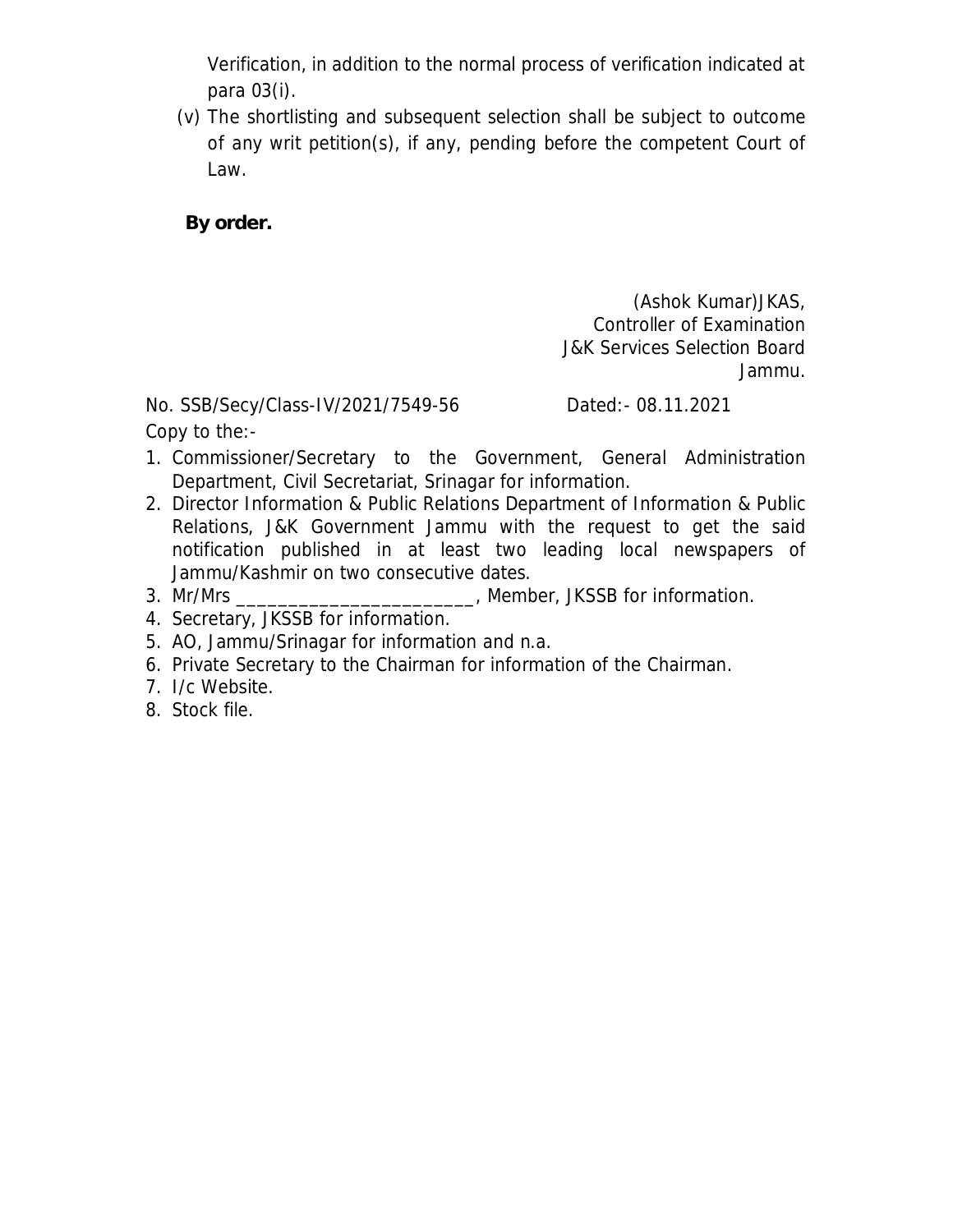Verification, in addition to the normal process of verification indicated at para 03(i).

(v) The shortlisting and subsequent selection shall be subject to outcome of any writ petition(s), if any, pending before the competent Court of Law.

**By order.** 

(Ashok Kumar)JKAS, Controller of Examination J&K Services Selection Board Jammu.

No. SSB/Secy/Class-IV/2021/7549-56 Dated:- 08.11.2021

Copy to the:-

- 1. Commissioner/Secretary to the Government, General Administration Department, Civil Secretariat, Srinagar for information.
- 2. Director Information & Public Relations Department of Information & Public Relations, J&K Government Jammu with the request to get the said notification published in at least two leading local newspapers of Jammu/Kashmir on two consecutive dates.
- 3. Mr/Mrs \_\_\_\_\_\_\_\_\_\_\_\_\_\_\_\_\_\_\_\_\_\_\_, Member, JKSSB for information.
- 4. Secretary, JKSSB for information.
- 5. AO, Jammu/Srinagar for information and n.a.
- 6. Private Secretary to the Chairman for information of the Chairman.
- 7. I/c Website.
- 8. Stock file.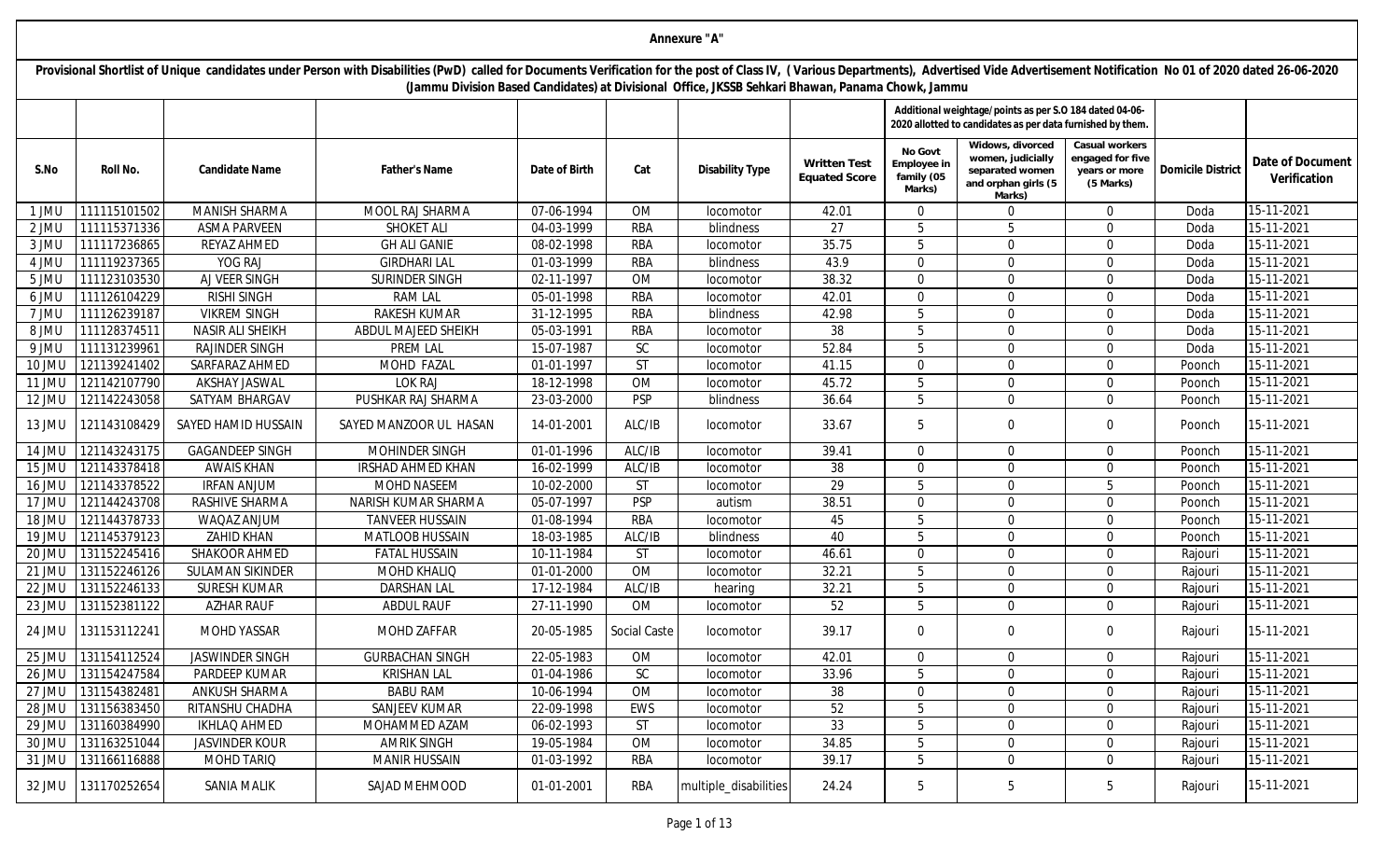|        | Annexure "A"        |                         |                                                                                                                                                                                                                                                                                                                                     |               |              |                        |                                             |                                                |                                                                                                                      |                                                                  |                          |                                  |  |  |
|--------|---------------------|-------------------------|-------------------------------------------------------------------------------------------------------------------------------------------------------------------------------------------------------------------------------------------------------------------------------------------------------------------------------------|---------------|--------------|------------------------|---------------------------------------------|------------------------------------------------|----------------------------------------------------------------------------------------------------------------------|------------------------------------------------------------------|--------------------------|----------------------------------|--|--|
|        |                     |                         | Provisional Shortlist of Unique candidates under Person with Disabilities (PwD) called for Documents Verification for the post of Class IV, (Various Departments), Advertised Vide Advertisement Notification No 01 of 2020 da<br>(Jammu Division Based Candidates) at Divisional Office, JKSSB Sehkari Bhawan, Panama Chowk, Jammu |               |              |                        |                                             |                                                |                                                                                                                      |                                                                  |                          |                                  |  |  |
|        |                     |                         |                                                                                                                                                                                                                                                                                                                                     |               |              |                        |                                             |                                                | Additional weightage/points as per S.O 184 dated 04-06-<br>2020 allotted to candidates as per data furnished by them |                                                                  |                          |                                  |  |  |
| S.No   | Roll No.            | Candidate Name          | Father's Name                                                                                                                                                                                                                                                                                                                       | Date of Birth | Cat          | <b>Disability Type</b> | <b>Written Test</b><br><b>Equated Score</b> | No Govt<br>Employee ir<br>family (05<br>Marks) | Widows, divorced<br>women, judicially<br>separated women<br>and orphan girls (5<br>Marks)                            | Casual workers<br>engaged for five<br>years or more<br>(5 Marks) | <b>Domicile District</b> | Date of Document<br>Verification |  |  |
| 1 JMU  | 111115101502        | MANISH SHARMA           | MOOL RAJ SHARMA                                                                                                                                                                                                                                                                                                                     | 07-06-1994    | <b>OM</b>    | locomotor              | 42.01                                       | $\Omega$                                       | $\overline{0}$                                                                                                       | $\Omega$                                                         | Doda                     | 15-11-2021                       |  |  |
| 2 JML  | 111115371336        | <b>ASMA PARVEEN</b>     | <b>SHOKET ALI</b>                                                                                                                                                                                                                                                                                                                   | 04-03-1999    | <b>RBA</b>   | blindness              | 27                                          | .5                                             | 5                                                                                                                    | $\Omega$                                                         | Doda                     | 15-11-2021                       |  |  |
| 3 JMU  | 111117236865        | REYAZ AHMED             | <b>GH ALI GANIE</b>                                                                                                                                                                                                                                                                                                                 | 08-02-1998    | <b>RBA</b>   | locomotor              | 35.75                                       | 5                                              | $\Omega$                                                                                                             | $\Omega$                                                         | Doda                     | 15-11-2021                       |  |  |
| 4 JMU  | 111119237365        | YOG RAJ                 | <b>GIRDHARI LAL</b>                                                                                                                                                                                                                                                                                                                 | 01-03-1999    | <b>RBA</b>   | blindness              | 43.9                                        | $\Omega$                                       | $\Omega$                                                                                                             | $\Omega$                                                         | Doda                     | 15-11-2021                       |  |  |
| 5 JMU  | 111123103530        | AJ VEER SINGH           | SURINDER SINGH                                                                                                                                                                                                                                                                                                                      | 02-11-1997    | <b>OM</b>    | locomotor              | 38.32                                       | $\mathbf{0}$                                   | $\Omega$                                                                                                             | $\Omega$                                                         | Doda                     | 15-11-2021                       |  |  |
| 6 JMU  | 111126104229        | <b>RISHI SINGH</b>      | <b>RAM LAL</b>                                                                                                                                                                                                                                                                                                                      | 05-01-1998    | <b>RBA</b>   | locomotor              | 42.01                                       | $\Omega$                                       | $\Omega$                                                                                                             | $\Omega$                                                         | Doda                     | 15-11-2021                       |  |  |
| 7 JMU  | 111126239187        | <b>VIKREM SINGH</b>     | <b>RAKESH KUMAR</b>                                                                                                                                                                                                                                                                                                                 | 31-12-1995    | <b>RBA</b>   | blindness              | 42.98                                       | .5                                             | $\Omega$                                                                                                             | $\Omega$                                                         | Doda                     | 15-11-2021                       |  |  |
| 8 JML  | 111128374511        | <b>NASIR ALI SHEIKH</b> | ABDUL MAJEED SHEIKH                                                                                                                                                                                                                                                                                                                 | 05-03-1991    | <b>RBA</b>   | locomotor              | 38                                          | .5                                             | $\Omega$                                                                                                             | $\Omega$                                                         | Doda                     | 15-11-2021                       |  |  |
| 9 JMU  | 111131239961        | <b>RAJINDER SINGH</b>   | <b>PREM LAL</b>                                                                                                                                                                                                                                                                                                                     | 15-07-1987    | <b>SC</b>    | locomotor              | 52.84                                       | .5                                             | $\Omega$                                                                                                             | $\Omega$                                                         | Doda                     | 15-11-2021                       |  |  |
| 10 JMU | 121139241402        | SARFARAZ AHMED          | MOHD FAZAL                                                                                                                                                                                                                                                                                                                          | 01-01-1997    | <b>ST</b>    | locomotor              | 41.15                                       | $\mathbf{0}$                                   | $\Omega$                                                                                                             | $\Omega$                                                         | Poonch                   | 15-11-2021                       |  |  |
| 11 JMU | 121142107790        | <b>AKSHAY JASWAL</b>    | <b>LOK RAJ</b>                                                                                                                                                                                                                                                                                                                      | 18-12-1998    | <b>OM</b>    | locomotor              | 45.72                                       | 5                                              | $\Omega$                                                                                                             | $\Omega$                                                         | Poonch                   | 15-11-2021                       |  |  |
| 12 JMU | 121142243058        | SATYAM BHARGAV          | PUSHKAR RAJ SHARMA                                                                                                                                                                                                                                                                                                                  | 23-03-2000    | <b>PSP</b>   | blindness              | 36.64                                       | 5                                              | $\Omega$                                                                                                             | $\Omega$                                                         | Poonch                   | 15-11-2021                       |  |  |
| 13 JMU | 121143108429        | SAYED HAMID HUSSAIN     | SAYED MANZOOR UL HASAN                                                                                                                                                                                                                                                                                                              | 14-01-2001    | ALC/IB       | locomotor              | 33.67                                       | 5                                              | $\Omega$                                                                                                             | $\mathbf 0$                                                      | Poonch                   | 15-11-2021                       |  |  |
| 14 JMU | 121143243175        | <b>GAGANDEEP SINGH</b>  | MOHINDER SINGH                                                                                                                                                                                                                                                                                                                      | 01-01-1996    | ALC/IB       | locomotor              | 39.41                                       | $\Omega$                                       | $\Omega$                                                                                                             | $\Omega$                                                         | Poonch                   | 15-11-2021                       |  |  |
| 15 JMU | 121143378418        | <b>AWAIS KHAN</b>       | <b>IRSHAD AHMED KHAN</b>                                                                                                                                                                                                                                                                                                            | 16-02-1999    | ALC/IB       | locomotor              | 38                                          | $\mathbf{0}$                                   | $\Omega$                                                                                                             | $\mathbf{0}$                                                     | Poonch                   | 15-11-2021                       |  |  |
| 16 JMU | 121143378522        | <b>IRFAN ANJUM</b>      | <b>MOHD NASEEM</b>                                                                                                                                                                                                                                                                                                                  | 10-02-2000    | <b>ST</b>    | locomotor              | 29                                          | 5                                              | $\Omega$                                                                                                             | 5                                                                | Poonch                   | 15-11-2021                       |  |  |
| 17 JMU | 121144243708        | RASHIVE SHARMA          | NARISH KUMAR SHARMA                                                                                                                                                                                                                                                                                                                 | 05-07-1997    | <b>PSP</b>   | autism                 | 38.51                                       | $\mathbf 0$                                    | $\mathbf 0$                                                                                                          | $\mathbf 0$                                                      | Poonch                   | 15-11-2021                       |  |  |
| 18 JMU | 121144378733        | WAQAZ ANJUM             | <b>TANVEER HUSSAIN</b>                                                                                                                                                                                                                                                                                                              | 01-08-1994    | RBA          | locomotor              | 45                                          | 5                                              | $\Omega$                                                                                                             | $\Omega$                                                         | Poonch                   | 15-11-2021                       |  |  |
| 19 JMU | 121145379123        | ZAHID KHAN              | <b>MATLOOB HUSSAIN</b>                                                                                                                                                                                                                                                                                                              | 18-03-1985    | ALC/IB       | blindness              | 40                                          | 5                                              | $\mathbf{0}$                                                                                                         | $\Omega$                                                         | Poonch                   | 15-11-2021                       |  |  |
| 20 JMU | 131152245416        | SHAKOOR AHMED           | <b>FATAL HUSSAIN</b>                                                                                                                                                                                                                                                                                                                | 10-11-1984    | <b>ST</b>    | locomotor              | 46.61                                       | $\mathbf{0}$                                   | $\Omega$                                                                                                             | $\Omega$                                                         | Rajouri                  | 15-11-2021                       |  |  |
| 21 JMU | 131152246126        | <b>SULAMAN SIKINDER</b> | <b>MOHD KHALIQ</b>                                                                                                                                                                                                                                                                                                                  | 01-01-2000    | <b>OM</b>    | locomotor              | 32.21                                       | 5                                              | $\Omega$                                                                                                             | $\Omega$                                                         | Rajouri                  | 15-11-2021                       |  |  |
| 22 JMU | 131152246133        | <b>SURESH KUMAR</b>     | <b>DARSHAN LAL</b>                                                                                                                                                                                                                                                                                                                  | 17-12-1984    | ALC/IB       | hearing                | 32.21                                       | 5                                              | $\Omega$                                                                                                             | $\Omega$                                                         | Rajouri                  | 15-11-2021                       |  |  |
| 23 JMU | 131152381122        | <b>AZHAR RAUF</b>       | <b>ABDUL RAUF</b>                                                                                                                                                                                                                                                                                                                   | 27-11-1990    | <b>OM</b>    | locomotor              | $\overline{52}$                             | 5                                              | $\mathbf{0}$                                                                                                         | $\Omega$                                                         | Rajouri                  | 15-11-2021                       |  |  |
| 24 JMU | 131153112241        | <b>MOHD YASSAR</b>      | <b>MOHD ZAFFAR</b>                                                                                                                                                                                                                                                                                                                  | 20-05-1985    | Social Caste | locomotor              | 39.17                                       | $\mathbf{0}$                                   | $\Omega$                                                                                                             | 0                                                                | Rajouri                  | 15-11-2021                       |  |  |
|        | 25 JMU 131154112524 | <b>JASWINDER SINGH</b>  | <b>GURBACHAN SINGH</b>                                                                                                                                                                                                                                                                                                              | 22-05-1983    | OM           | locomotor              | 42.01                                       | $\mathbf 0$                                    | $\mathbf 0$                                                                                                          | $\mathbf 0$                                                      | Rajouri                  | 15-11-2021                       |  |  |
| 26 JMU | 131154247584        | PARDEEP KUMAR           | <b>KRISHAN LAL</b>                                                                                                                                                                                                                                                                                                                  | 01-04-1986    | SC           | locomotor              | 33.96                                       | 5                                              | $\Omega$                                                                                                             | $\Omega$                                                         | Rajouri                  | 15-11-2021                       |  |  |
|        | 27 JMU 131154382481 | ANKUSH SHARMA           | <b>BABU RAM</b>                                                                                                                                                                                                                                                                                                                     | 10-06-1994    | OM           | locomotor              | 38                                          | $\Omega$                                       | $\mathbf 0$                                                                                                          | $\mathbf 0$                                                      | Rajouri                  | 15-11-2021                       |  |  |
|        | 28 JMU 131156383450 | RITANSHU CHADHA         | SANJEEV KUMAR                                                                                                                                                                                                                                                                                                                       | 22-09-1998    | EWS          | locomotor              | 52                                          | $5\phantom{.0}$                                | $\mathbf 0$                                                                                                          | $\mathbf 0$                                                      | Rajouri                  | 15-11-2021                       |  |  |
|        | 29 JMU 131160384990 | <b>IKHLAQ AHMED</b>     | MOHAMMED AZAM                                                                                                                                                                                                                                                                                                                       | 06-02-1993    | <b>ST</b>    | locomotor              | 33                                          | 5                                              | $\mathbf 0$                                                                                                          | $\mathbf 0$                                                      | Rajouri                  | 15-11-2021                       |  |  |
|        | 30 JMU 131163251044 | <b>JASVINDER KOUR</b>   | <b>AMRIK SINGH</b>                                                                                                                                                                                                                                                                                                                  | 19-05-1984    | OM           | locomotor              | 34.85                                       | $\overline{5}$                                 | $\mathbf 0$                                                                                                          | $\mathbf 0$                                                      | Rajouri                  | 15-11-2021                       |  |  |
|        | 31 JMU 131166116888 | MOHD TARIQ              | <b>MANIR HUSSAIN</b>                                                                                                                                                                                                                                                                                                                | 01-03-1992    | <b>RBA</b>   | locomotor              | 39.17                                       | 5                                              | $\mathbf 0$                                                                                                          | $\overline{0}$                                                   | Rajouri                  | 15-11-2021                       |  |  |
| 32 JMU | 131170252654        | <b>SANIA MALIK</b>      | SAJAD MEHMOOD                                                                                                                                                                                                                                                                                                                       | 01-01-2001    | RBA          | multiple_disabilities  | 24.24                                       | 5                                              | 5                                                                                                                    | 5                                                                | Rajouri                  | 15-11-2021                       |  |  |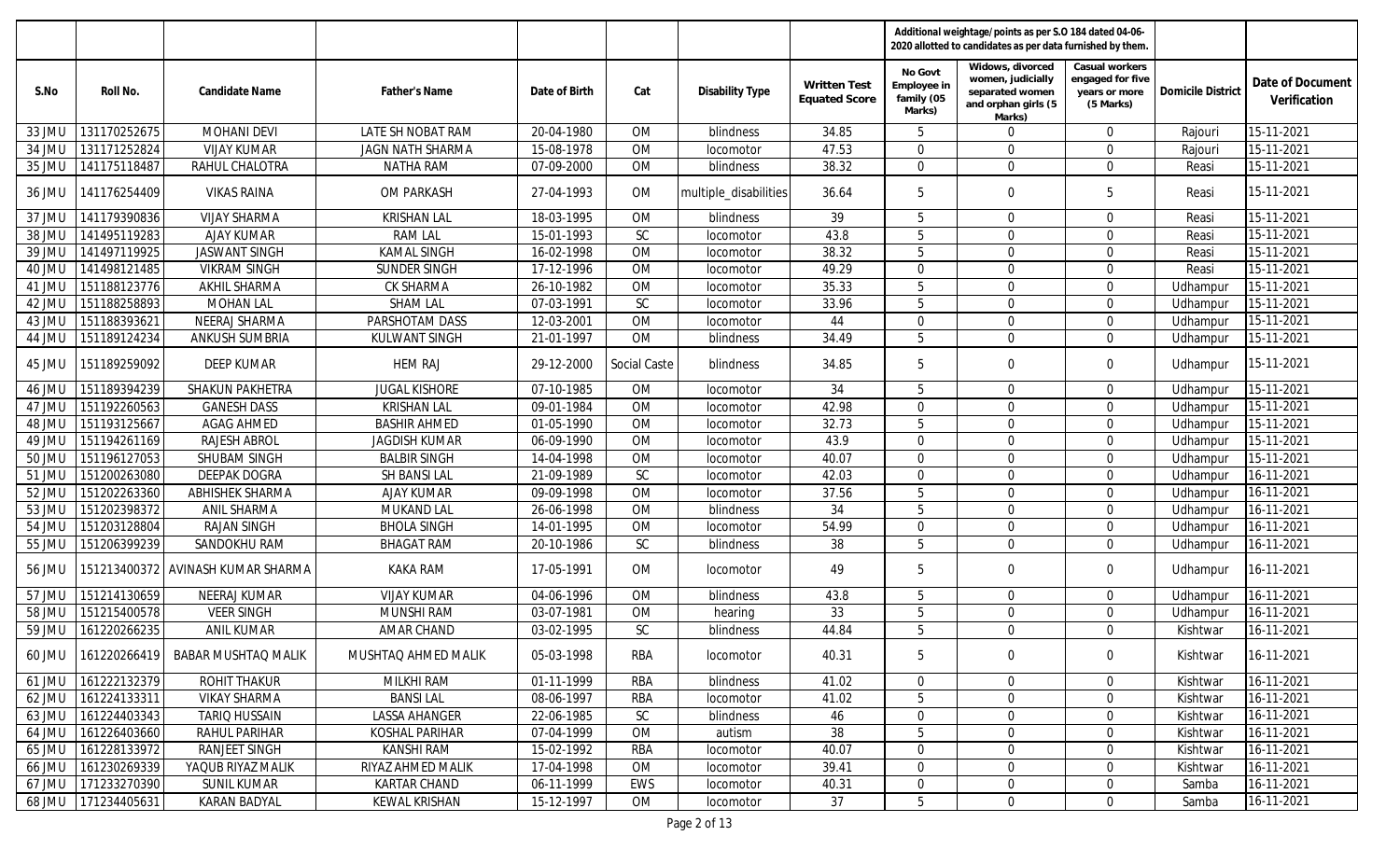|        |                     |                                             |                      |               |                     |                        |                                             |                                                | Additional weightage/points as per S.O 184 dated 04-06-<br>2020 allotted to candidates as per data furnished by them. |                                                                  |                          |                                  |
|--------|---------------------|---------------------------------------------|----------------------|---------------|---------------------|------------------------|---------------------------------------------|------------------------------------------------|-----------------------------------------------------------------------------------------------------------------------|------------------------------------------------------------------|--------------------------|----------------------------------|
| S.No   | Roll No.            | Candidate Name                              | <b>Father's Name</b> | Date of Birth | Cat                 | <b>Disability Type</b> | <b>Written Test</b><br><b>Equated Score</b> | No Govt<br>Employee in<br>family (05<br>Marks) | Widows, divorced<br>women, judicially<br>separated women<br>and orphan girls (5<br>Marks)                             | Casual workers<br>engaged for five<br>years or more<br>(5 Marks) | <b>Domicile District</b> | Date of Document<br>Verification |
| 33 JMU | 131170252675        | <b>MOHANI DEVI</b>                          | LATE SH NOBAT RAM    | 20-04-1980    | <b>OM</b>           | blindness              | 34.85                                       | 5                                              | $\mathbf 0$                                                                                                           | $\Omega$                                                         | Rajouri                  | 15-11-2021                       |
| 34 JML | 131171252824        | <b>VIJAY KUMAR</b>                          | JAGN NATH SHARMA     | 15-08-1978    | OM                  | locomotor              | 47.53                                       | $\mathbf{0}$                                   | $\mathbf 0$                                                                                                           | $\mathbf 0$                                                      | Rajouri                  | 15-11-2021                       |
| 35 JMU | 141175118487        | RAHUL CHALOTRA                              | <b>NATHA RAM</b>     | 07-09-2000    | <b>OM</b>           | blindness              | 38.32                                       | $\mathbf{0}$                                   | $\Omega$                                                                                                              | $\mathbf 0$                                                      | Reasi                    | 15-11-2021                       |
| 36 JMU | 141176254409        | <b>VIKAS RAINA</b>                          | OM PARKASH           | 27-04-1993    | OM                  | multiple_disabilities  | 36.64                                       | 5                                              | $\mathbf 0$                                                                                                           | 5                                                                | Reasi                    | 15-11-2021                       |
| 37 JMU | 141179390836        | <b>VIJAY SHARMA</b>                         | <b>KRISHAN LAL</b>   | 18-03-1995    | OM                  | blindness              | 39                                          | 5                                              | $\Omega$                                                                                                              | $\Omega$                                                         | Reasi                    | 15-11-2021                       |
| 38 JMU | 141495119283        | <b>AJAY KUMAR</b>                           | <b>RAM LAL</b>       | 15-01-1993    | SC                  | locomotor              | 43.8                                        | 5                                              | $\Omega$                                                                                                              | $\Omega$                                                         | Reasi                    | 15-11-2021                       |
| 39 JMU | 141497119925        | <b>JASWANT SINGH</b>                        | <b>KAMAL SINGH</b>   | 16-02-1998    | <b>OM</b>           | locomotor              | 38.32                                       | 5                                              | $\mathbf 0$                                                                                                           | $\Omega$                                                         | Reasi                    | 15-11-2021                       |
| 40 JMU | 141498121485        | <b>VIKRAM SINGH</b>                         | SUNDER SINGH         | 17-12-1996    | OM                  | locomotor              | 49.29                                       | $\mathbf{0}$                                   | $\mathbf 0$                                                                                                           | $\Omega$                                                         | Reasi                    | 15-11-2021                       |
| 41 JMU | 151188123776        | AKHIL SHARMA                                | CK SHARMA            | 26-10-1982    | OM                  | locomotor              | 35.33                                       | 5                                              | $\mathbf 0$                                                                                                           | $\mathbf 0$                                                      | Udhampur                 | 15-11-2021                       |
| 42 JML | 151188258893        | <b>MOHAN LAL</b>                            | <b>SHAM LAL</b>      | 07-03-1991    | SC                  | locomotor              | 33.96                                       | 5                                              | $\mathbf 0$                                                                                                           | $\Omega$                                                         | Udhampur                 | 15-11-2021                       |
| 43 JMU | 151188393621        | NEERAJ SHARMA                               | PARSHOTAM DASS       | 12-03-2001    | <b>OM</b>           | locomotor              | 44                                          | $\mathbf 0$                                    | $\mathbf 0$                                                                                                           | $\Omega$                                                         | Udhampur                 | 15-11-2021                       |
| 44 JMU | 151189124234        | <b>ANKUSH SUMBRIA</b>                       | KULWANT SINGH        | 21-01-1997    | OM                  | blindness              | 34.49                                       | 5                                              | $\Omega$                                                                                                              | $\Omega$                                                         | Udhampur                 | 15-11-2021                       |
| 45 JMU | 151189259092        | DEEP KUMAR                                  | <b>HEM RAJ</b>       | 29-12-2000    | <b>Social Caste</b> | blindness              | 34.85                                       | 5                                              | $\mathbf 0$                                                                                                           | $\mathbf 0$                                                      | Udhampur                 | 15-11-2021                       |
| 46 JMU | 151189394239        | SHAKUN PAKHETRA                             | <b>JUGAL KISHORE</b> | 07-10-1985    | OM                  | locomotor              | 34                                          | 5                                              | $\overline{0}$                                                                                                        | $\Omega$                                                         | Udhampur                 | 15-11-2021                       |
| 47 JMU | 151192260563        | <b>GANESH DASS</b>                          | <b>KRISHAN LAL</b>   | 09-01-1984    | <b>OM</b>           | locomotor              | 42.98                                       | $\Omega$                                       | $\Omega$                                                                                                              | $\Omega$                                                         | Udhampur                 | 15-11-2021                       |
| 48 JMU | 151193125667        | <b>AGAG AHMED</b>                           | <b>BASHIR AHMED</b>  | 01-05-1990    | OM                  | locomotor              | 32.73                                       | 5                                              | $\mathbf 0$                                                                                                           | $\Omega$                                                         | Udhampur                 | 15-11-2021                       |
| 49 JMU | 151194261169        | <b>RAJESH ABROL</b>                         | <b>JAGDISH KUMAR</b> | 06-09-1990    | <b>OM</b>           | locomotor              | 43.9                                        | 0                                              | $\mathbf 0$                                                                                                           | $\mathbf 0$                                                      | Udhampur                 | 15-11-2021                       |
| 50 JMU | 151196127053        | SHUBAM SINGH                                | <b>BALBIR SINGH</b>  | 14-04-1998    | OM                  | locomotor              | 40.07                                       | $\Omega$                                       | $\Omega$                                                                                                              | $\Omega$                                                         | Udhampur                 | 15-11-2021                       |
| 51 JMU | 151200263080        | <b>DEEPAK DOGRA</b>                         | SH BANSI LAL         | 21-09-1989    | SC                  | locomotor              | 42.03                                       | $\mathbf{0}$                                   | $\Omega$                                                                                                              | $\Omega$                                                         | Udhampur                 | 16-11-2021                       |
| 52 JMU | 151202263360        | ABHISHEK SHARMA                             | <b>AJAY KUMAR</b>    | 09-09-1998    | <b>OM</b>           | locomotor              | 37.56                                       | 5                                              | $\Omega$                                                                                                              | $\Omega$                                                         | Udhampur                 | 16-11-2021                       |
| 53 JMU | 151202398372        | <b>ANIL SHARMA</b>                          | <b>MUKAND LAL</b>    | 26-06-1998    | <b>OM</b>           | blindness              | 34                                          | 5                                              | $\Omega$                                                                                                              | $\Omega$                                                         | Udhampur                 | 16-11-2021                       |
| 54 JMU | 151203128804        | <b>RAJAN SINGH</b>                          | <b>BHOLA SINGH</b>   | 14-01-1995    | <b>OM</b>           | locomotor              | 54.99                                       | $\Omega$                                       | $\mathbf 0$                                                                                                           | $\Omega$                                                         | Udhampur                 | 16-11-2021                       |
| 55 JMU | 151206399239        | SANDOKHU RAM                                | <b>BHAGAT RAM</b>    | 20-10-1986    | SC                  | blindness              | 38                                          | 5                                              | $\Omega$                                                                                                              | $\Omega$                                                         | Udhampur                 | 16-11-2021                       |
| 56 JMU |                     | 151213400372 AVINASH KUMAR SHARMA           | <b>KAKA RAM</b>      | 17-05-1991    | <b>OM</b>           | locomotor              | 49                                          | 5                                              | 0                                                                                                                     | $\overline{0}$                                                   | Udhampur                 | 16-11-2021                       |
| 57 JMU | 151214130659        | <b>NEERAJ KUMAR</b>                         | <b>VIJAY KUMAR</b>   | 04-06-1996    | <b>OM</b>           | blindness              | 43.8                                        | 5                                              | $\mathbf 0$                                                                                                           | $\mathbf 0$                                                      | Udhampur                 | 16-11-2021                       |
| 58 JMU | 151215400578        | <b>VEER SINGH</b>                           | <b>MUNSHI RAM</b>    | 03-07-1981    | OM                  | hearing                | 33                                          | 5                                              | $\mathbf 0$                                                                                                           | $\Omega$                                                         | Udhampur                 | 16-11-2021                       |
| 59 JMU | 161220266235        | ANIL KUMAR                                  | <b>AMAR CHAND</b>    | 03-02-1995    | <b>SC</b>           | blindness              | 44.84                                       | 5                                              | $\Omega$                                                                                                              | $\Omega$                                                         | Kishtwar                 | 16-11-2021                       |
|        |                     | 60 JMU   161220266419   BABAR MUSHTAQ MALIK | MUSHTAQ AHMED MALIK  | 05-03-1998    | RBA                 | locomotor              | 40.31                                       | 5                                              | $\mathbf 0$                                                                                                           | $\overline{0}$                                                   | Kishtwar                 | 16-11-2021                       |
|        | 61 JMU 161222132379 | <b>ROHIT THAKUR</b>                         | <b>MILKHI RAM</b>    | 01-11-1999    | RBA                 | blindness              | 41.02                                       | $\mathbf 0$                                    | $\mathbf 0$                                                                                                           | $\overline{0}$                                                   | Kishtwar                 | 16-11-2021                       |
|        | 62 JMU 161224133311 | <b>VIKAY SHARMA</b>                         | <b>BANSILAL</b>      | 08-06-1997    | <b>RBA</b>          | locomotor              | 41.02                                       | 5                                              | 0                                                                                                                     | $\mathbf 0$                                                      | Kishtwar                 | 16-11-2021                       |
| 63 JMU | 161224403343        | <b>TARIO HUSSAIN</b>                        | LASSA AHANGER        | 22-06-1985    | SC                  | blindness              | 46                                          | 0                                              | 0                                                                                                                     | $\mathbf 0$                                                      | Kishtwar                 | 16-11-2021                       |
| 64 JMU | 161226403660        | RAHUL PARIHAR                               | KOSHAL PARIHAR       | 07-04-1999    | OM                  | autism                 | 38                                          | 5                                              | $\mathbf 0$                                                                                                           | $\mathbf 0$                                                      | Kishtwar                 | 16-11-2021                       |
| 65 JMU | 161228133972        | RANJEET SINGH                               | KANSHI RAM           | 15-02-1992    | <b>RBA</b>          | locomotor              | 40.07                                       | $\mathbf{0}$                                   | $\mathbf 0$                                                                                                           | $\overline{0}$                                                   | Kishtwar                 | 16-11-2021                       |
|        | 66 JMU 161230269339 | YAQUB RIYAZ MALIK                           | RIYAZ AHMED MALIK    | 17-04-1998    | OM                  | locomotor              | 39.41                                       | $\mathbf 0$                                    | $\mathbf 0$                                                                                                           | $\overline{0}$                                                   | Kishtwar                 | 16-11-2021                       |
|        | 67 JMU 171233270390 | SUNIL KUMAR                                 | <b>KARTAR CHAND</b>  | 06-11-1999    | EWS                 | locomotor              | 40.31                                       | $\mathbf 0$                                    | 0                                                                                                                     | $\mathbf 0$                                                      | Samba                    | 16-11-2021                       |
|        | 68 JMU 171234405631 | <b>KARAN BADYAL</b>                         | <b>KEWAL KRISHAN</b> | 15-12-1997    | OM                  | locomotor              | 37                                          | 5                                              | 0                                                                                                                     | $\mathbf 0$                                                      | Samba                    | 16-11-2021                       |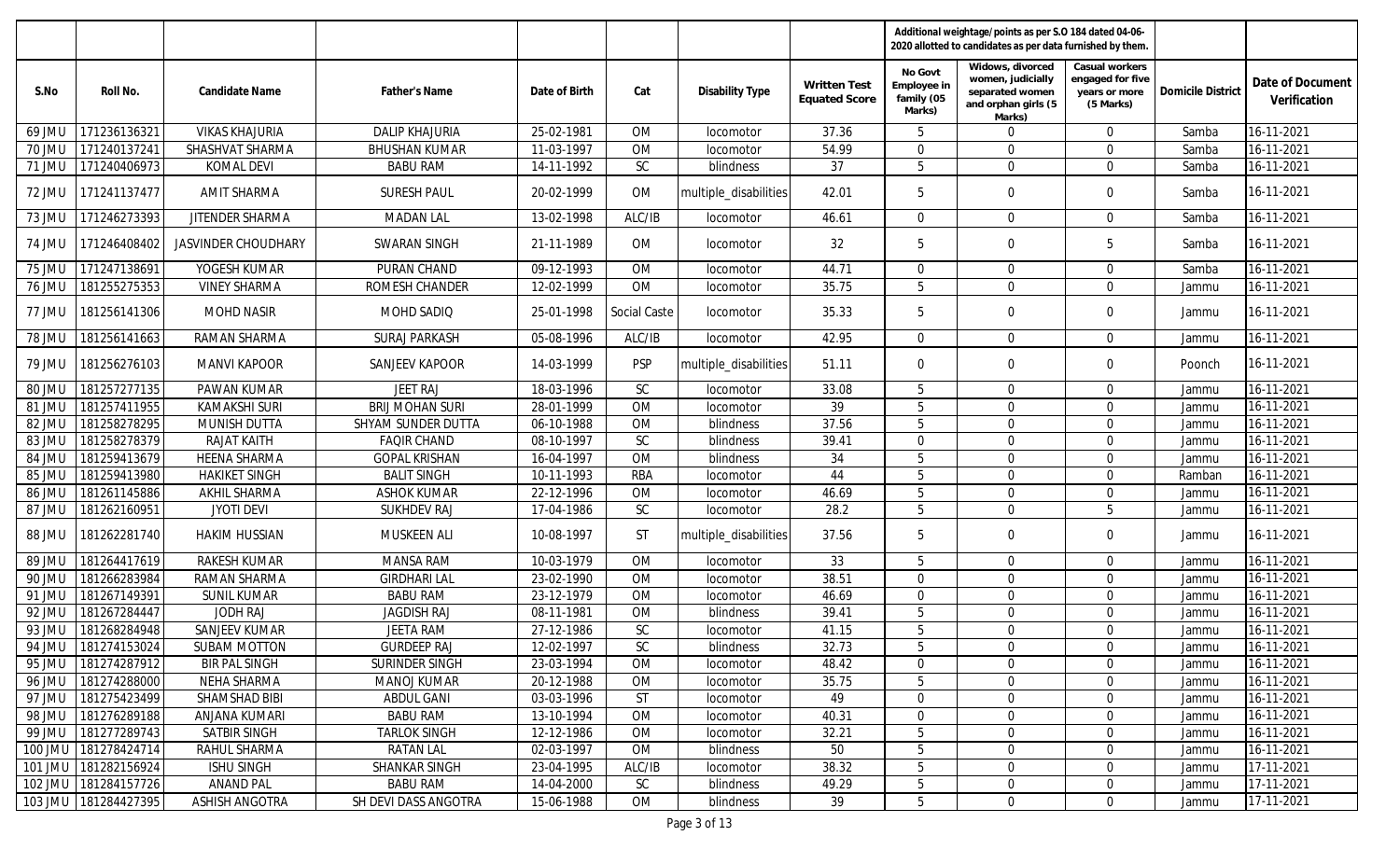|               |                      |                       |                        |               |                     |                       |                                             |                                                | Additional weightage/points as per S.O 184 dated 04-06-<br>2020 allotted to candidates as per data furnished by them. |                                                                  |                          |                                  |
|---------------|----------------------|-----------------------|------------------------|---------------|---------------------|-----------------------|---------------------------------------------|------------------------------------------------|-----------------------------------------------------------------------------------------------------------------------|------------------------------------------------------------------|--------------------------|----------------------------------|
| S.No          | Roll No.             | Candidate Name        | Father's Name          | Date of Birth | Cat                 | Disability Type       | <b>Written Test</b><br><b>Equated Score</b> | No Govt<br>Employee in<br>family (05<br>Marks) | Widows, divorced<br>women, judicially<br>separated women<br>and orphan girls (5<br>Marks)                             | Casual workers<br>engaged for five<br>years or more<br>(5 Marks) | <b>Domicile District</b> | Date of Document<br>Verification |
| 69 JMU        | 171236136321         | <b>VIKAS KHAJURIA</b> | <b>DALIP KHAJURIA</b>  | 25-02-1981    | <b>OM</b>           | locomotor             | 37.36                                       | 5                                              | $\mathbf 0$                                                                                                           | $\Omega$                                                         | Samba                    | 16-11-2021                       |
| 70 JMU        | 17124013724          | SHASHVAT SHARMA       | <b>BHUSHAN KUMAR</b>   | 11-03-1997    | <b>OM</b>           | locomotor             | 54.99                                       | $\mathbf 0$                                    | $\mathbf 0$                                                                                                           | $\Omega$                                                         | Samba                    | 16-11-2021                       |
| 71 JMU        | 171240406973         | <b>KOMAL DEVI</b>     | <b>BABU RAM</b>        | 14-11-1992    | SC                  | blindness             | 37                                          | 5                                              | $\Omega$                                                                                                              | $\Omega$                                                         | Samba                    | 16-11-2021                       |
| 72 JMU        | 171241137477         | <b>AMIT SHARMA</b>    | <b>SURESH PAUL</b>     | 20-02-1999    | 0M                  | multiple_disabilities | 42.01                                       | 5                                              | $\mathbf 0$                                                                                                           | $\mathbf 0$                                                      | Samba                    | 16-11-2021                       |
| 73 JMU        | 171246273393         | JITENDER SHARMA       | <b>MADAN LAL</b>       | 13-02-1998    | ALC/IB              | locomotor             | 46.61                                       | $\mathbf 0$                                    | $\mathbf 0$                                                                                                           | $\Omega$                                                         | Samba                    | 16-11-2021                       |
| 74 JMU        | 171246408402         | JASVINDER CHOUDHARY   | <b>SWARAN SINGH</b>    | 21-11-1989    | OM                  | locomotor             | 32                                          | 5                                              | $\mathbf 0$                                                                                                           | 5                                                                | Samba                    | 16-11-2021                       |
| 75 JMU        | 171247138691         | YOGESH KUMAR          | PURAN CHAND            | 09-12-1993    | <b>OM</b>           | locomotor             | 44.71                                       | $\mathbf 0$                                    | $\mathbf 0$                                                                                                           | $\mathbf 0$                                                      | Samba                    | 16-11-2021                       |
| 76 JMU        | 181255275353         | <b>VINEY SHARMA</b>   | ROMESH CHANDER         | 12-02-1999    | <b>OM</b>           | locomotor             | 35.75                                       | 5                                              | $\mathbf 0$                                                                                                           | $\mathbf 0$                                                      | Jammu                    | 16-11-2021                       |
| 77 JMU        | 181256141306         | <b>MOHD NASIR</b>     | MOHD SADIQ             | 25-01-1998    | <b>Social Caste</b> | locomotor             | 35.33                                       | 5                                              | $\mathbf 0$                                                                                                           | $\mathbf 0$                                                      | Jammu                    | 16-11-2021                       |
| <b>78 JMU</b> | 181256141663         | RAMAN SHARMA          | <b>SURAJ PARKASH</b>   | 05-08-1996    | ALC/IB              | locomotor             | 42.95                                       | $\mathbf 0$                                    | $\mathbf 0$                                                                                                           | $\mathbf 0$                                                      | Jammu                    | 16-11-2021                       |
| 79 JMU        | 181256276103         | <b>MANVI KAPOOR</b>   | <b>SANJEEV KAPOOR</b>  | 14-03-1999    | <b>PSP</b>          | multiple_disabilities | 51.11                                       | $\mathbf{0}$                                   | $\mathbf 0$                                                                                                           | $\Omega$                                                         | Poonch                   | 16-11-2021                       |
| 80 JMU        | 181257277135         | <b>PAWAN KUMAR</b>    | <b>JEET RAJ</b>        | 18-03-1996    | SC                  | locomotor             | 33.08                                       | 5                                              | $\mathbf 0$                                                                                                           | $\Omega$                                                         | Jammu                    | 16-11-2021                       |
| 81 JMU        | 181257411955         | <b>KAMAKSHI SURI</b>  | <b>BRIJ MOHAN SURI</b> | 28-01-1999    | <b>OM</b>           | locomotor             | 39                                          | 5                                              | $\mathbf 0$                                                                                                           | $\Omega$                                                         | Jammu                    | 16-11-2021                       |
| 82 JMU        | 181258278295         | MUNISH DUTTA          | SHYAM SUNDER DUTTA     | 06-10-1988    | <b>OM</b>           | blindness             | 37.56                                       | 5                                              | $\mathbf 0$                                                                                                           | $\mathbf 0$                                                      | Jammu                    | 16-11-2021                       |
| 83 JMU        | 181258278379         | RAJAT KAITH           | <b>FAQIR CHAND</b>     | 08-10-1997    | SC                  | blindness             | 39.41                                       | $\mathbf{0}$                                   | $\mathbf 0$                                                                                                           | $\Omega$                                                         | Jammu                    | 16-11-2021                       |
| 84 JMU        | 181259413679         | <b>HEENA SHARMA</b>   | <b>GOPAL KRISHAN</b>   | 16-04-1997    | <b>OM</b>           | blindness             | 34                                          | 5                                              | $\mathbf 0$                                                                                                           | $\Omega$                                                         | Jammu                    | 16-11-2021                       |
| 85 JMU        | 181259413980         | <b>HAKIKET SINGH</b>  | <b>BALIT SINGH</b>     | 10-11-1993    | <b>RBA</b>          | locomotor             | 44                                          | 5                                              | $\Omega$                                                                                                              | $\Omega$                                                         | Ramban                   | $16 - 11 - 2021$                 |
| 86 JMU        | 181261145886         | <b>AKHIL SHARMA</b>   | <b>ASHOK KUMAR</b>     | 22-12-1996    | <b>OM</b>           | locomotor             | 46.69                                       | 5                                              | $\mathbf 0$                                                                                                           | $\Omega$                                                         | Jammu                    | $16 - 11 - 2021$                 |
| 87 JMU        | 181262160951         | <b>JYOTI DEVI</b>     | <b>SUKHDEV RAJ</b>     | 17-04-1986    | SC                  | locomotor             | 28.2                                        | 5                                              | $\Omega$                                                                                                              | 5                                                                | Jammu                    | 16-11-2021                       |
| 88 JMU        | 181262281740         | <b>HAKIM HUSSIAN</b>  | MUSKEEN ALI            | 10-08-1997    | <b>ST</b>           | multiple_disabilities | 37.56                                       | 5                                              | $\mathbf 0$                                                                                                           | $\mathbf 0$                                                      | Jammu                    | 16-11-2021                       |
| 89 JMU        | 181264417619         | RAKESH KUMAR          | <b>MANSA RAM</b>       | 10-03-1979    | <b>OM</b>           | locomotor             | 33                                          | 5                                              | $\mathbf 0$                                                                                                           | $\mathbf 0$                                                      | Jammu                    | 16-11-2021                       |
| 90 JMU        | 181266283984         | <b>RAMAN SHARMA</b>   | <b>GIRDHARI LAL</b>    | 23-02-1990    | <b>OM</b>           | locomotor             | 38.51                                       | $\mathbf 0$                                    | $\mathbf 0$                                                                                                           | $\mathbf 0$                                                      | Jammu                    | 16-11-2021                       |
| 91 JMU        | 181267149391         | <b>SUNIL KUMAR</b>    | <b>BABU RAM</b>        | 23-12-1979    | OM                  | locomotor             | 46.69                                       | $\mathbf 0$                                    | $\mathbf 0$                                                                                                           | $\mathbf 0$                                                      | Jammu                    | 16-11-2021                       |
| 92 JMU        | 181267284447         | <b>JODH RAJ</b>       | <b>JAGDISH RAJ</b>     | 08-11-1981    | <b>OM</b>           | blindness             | 39.41                                       | 5                                              | $\mathbf 0$                                                                                                           | $\Omega$                                                         | Jammu                    | 16-11-2021                       |
| 93 JMU        | 181268284948         | SANJEEV KUMAR         | <b>JEETA RAM</b>       | 27-12-1986    | SC                  | locomotor             | 41.15                                       | 5                                              | $\Omega$                                                                                                              | $\Omega$                                                         | Jammu                    | 16-11-2021                       |
|               | 94 JMU 181274153024  | <b>SUBAM MOTTON</b>   | <b>GURDEEP RAJ</b>     | 12-02-1997    | <b>SC</b>           | blindness             | 32.73                                       | b                                              | 0                                                                                                                     | $\mathbf 0$                                                      | Jammu                    | 16-11-2021                       |
|               | 95 JMU 181274287912  | <b>BIR PAL SINGH</b>  | SURINDER SINGH         | 23-03-1994    | OM                  | locomotor             | 48.42                                       | $\mathbf 0$                                    | 0                                                                                                                     | $\Omega$                                                         | Jammu                    | 16-11-2021                       |
|               | 96 JMU 181274288000  | NEHA SHARMA           | <b>MANOJ KUMAR</b>     | 20-12-1988    | OM                  | locomotor             | 35.75                                       | 5                                              | $\overline{0}$                                                                                                        | $\mathbf 0$                                                      | Jammu                    | 16-11-2021                       |
| 97 JMU        | 181275423499         | SHAMSHAD BIBI         | ABDUL GANI             | 03-03-1996    | <b>ST</b>           | locomotor             | 49                                          | $\mathbf 0$                                    | $\mathbf 0$                                                                                                           | $\mathbf 0$                                                      | Jammu                    | 16-11-2021                       |
| 98 JMU        | 181276289188         | <b>ANJANA KUMARI</b>  | <b>BABU RAM</b>        | 13-10-1994    | OM                  | locomotor             | 40.31                                       | $\mathbf 0$                                    | $\mathbf 0$                                                                                                           | $\mathbf 0$                                                      | Jammu                    | 16-11-2021                       |
|               | 99 JMU 181277289743  | SATBIR SINGH          | <b>TARLOK SINGH</b>    | 12-12-1986    | OM                  | <i>locomotor</i>      | 32.21                                       | 5                                              | $\mathbf 0$                                                                                                           | $\mathbf 0$                                                      | Jammu                    | 16-11-2021                       |
|               | 100 JMU 181278424714 | RAHUL SHARMA          | <b>RATAN LAL</b>       | 02-03-1997    | OM                  | blindness             | 50                                          | 5                                              | $\mathbf 0$                                                                                                           | $\overline{0}$                                                   | Jammu                    | 16-11-2021                       |
|               | 101 JMU 181282156924 | <b>ISHU SINGH</b>     | SHANKAR SINGH          | 23-04-1995    | ALC/IB              | locomotor             | 38.32                                       | 5                                              | $\mathbf 0$                                                                                                           | $\mathbf 0$                                                      | Jammu                    | 17-11-2021                       |
|               | 102 JMU 181284157726 | <b>ANAND PAL</b>      | <b>BABU RAM</b>        | 14-04-2000    | SC                  | blindness             | 49.29                                       | 5                                              | $\mathbf 0$                                                                                                           | $\mathbf 0$                                                      | Jammu                    | 17-11-2021                       |
|               | 103 JMU 181284427395 | <b>ASHISH ANGOTRA</b> | SH DEVI DASS ANGOTRA   | 15-06-1988    | OM                  | blindness             | 39                                          | 5                                              | $\mathbf 0$                                                                                                           | $\overline{0}$                                                   | Jammu                    | 17-11-2021                       |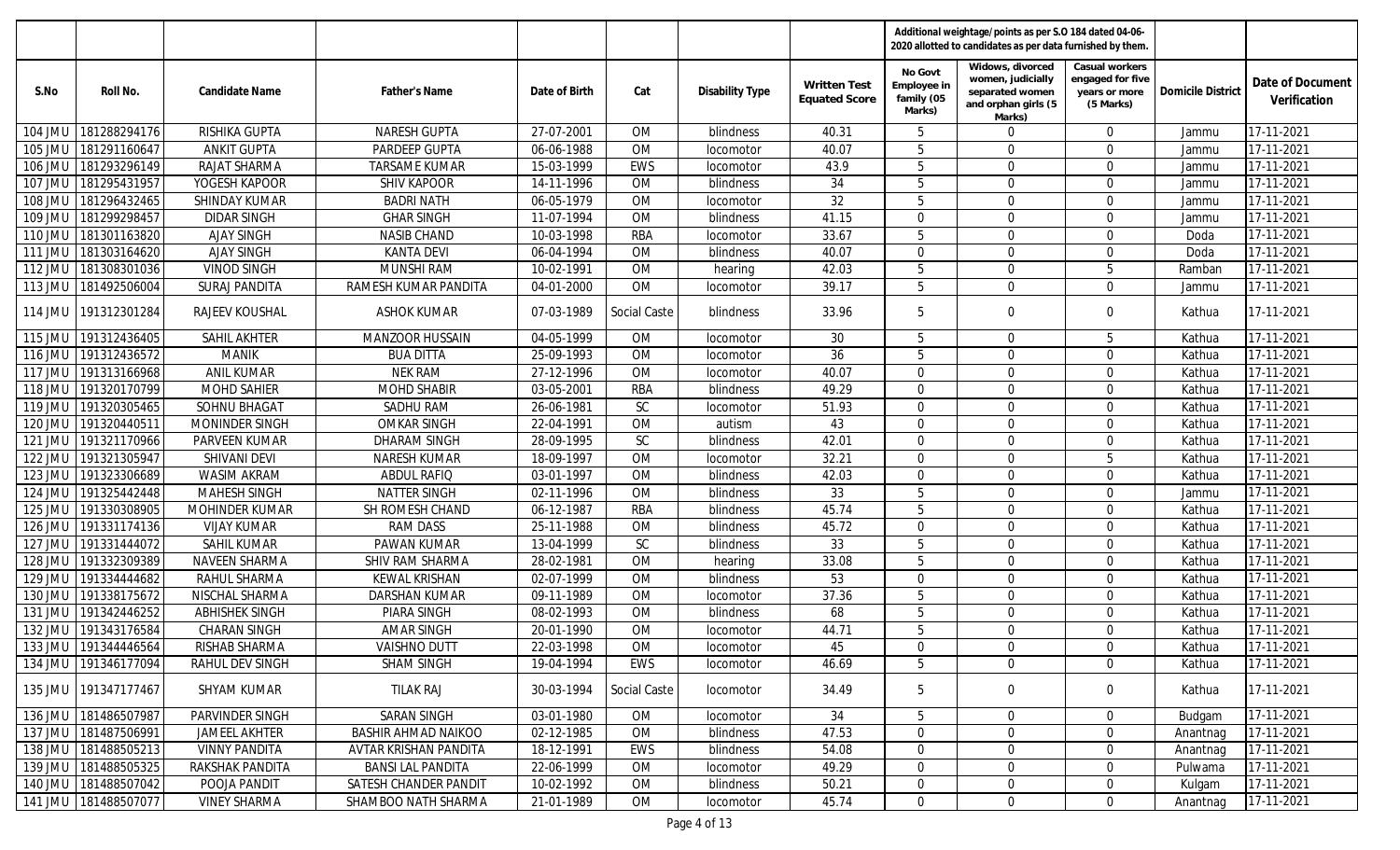|                |                      |                        |                            |               |                     |                        |                                             |                                                | Additional weightage/points as per S.O 184 dated 04-06-<br>2020 allotted to candidates as per data furnished by them. |                                                                  |                          |                                  |
|----------------|----------------------|------------------------|----------------------------|---------------|---------------------|------------------------|---------------------------------------------|------------------------------------------------|-----------------------------------------------------------------------------------------------------------------------|------------------------------------------------------------------|--------------------------|----------------------------------|
| S.No           | Roll No.             | Candidate Name         | Father's Name              | Date of Birth | Cat                 | <b>Disability Type</b> | <b>Written Test</b><br><b>Equated Score</b> | No Govt<br>Employee in<br>family (05<br>Marks) | Widows, divorced<br>women, judicially<br>separated women<br>and orphan girls (5<br>Marks)                             | Casual workers<br>engaged for five<br>years or more<br>(5 Marks) | <b>Domicile District</b> | Date of Document<br>Verification |
| 104 JMU        | 181288294176         | RISHIKA GUPTA          | <b>NARESH GUPTA</b>        | 27-07-2001    | <b>OM</b>           | blindness              | 40.31                                       | 5                                              | $\mathbf 0$                                                                                                           | $\Omega$                                                         | Jammu                    | 17-11-2021                       |
| 105 JMU        | 181291160647         | <b>ANKIT GUPTA</b>     | PARDEEP GUPTA              | 06-06-1988    | <b>OM</b>           | locomotor              | 40.07                                       | 5                                              | $\Omega$                                                                                                              | $\Omega$                                                         | Jammu                    | 17-11-2021                       |
| 106 JMU        | 181293296149         | RAJAT SHARMA           | <b>TARSAME KUMAR</b>       | 15-03-1999    | EWS                 | locomotor              | 43.9                                        | 5                                              | $\Omega$                                                                                                              | $\Omega$                                                         | Jammu                    | 17-11-2021                       |
| 107 JMU        | 181295431957         | YOGESH KAPOOR          | <b>SHIV KAPOOR</b>         | 14-11-1996    | OM                  | blindness              | 34                                          | 5                                              | $\Omega$                                                                                                              | $\Omega$                                                         | Jammu                    | 17-11-2021                       |
| 108 JMU        | 181296432465         | SHINDAY KUMAR          | <b>BADRI NATH</b>          | 06-05-1979    | <b>OM</b>           | locomotor              | 32                                          | 5                                              | $\Omega$                                                                                                              | $\Omega$                                                         | Jammu                    | 17-11-2021                       |
| 109 JMU        | 181299298457         | <b>DIDAR SINGH</b>     | <b>GHAR SINGH</b>          | 11-07-1994    | <b>OM</b>           | blindness              | 41.15                                       | $\mathbf 0$                                    | $\Omega$                                                                                                              | $\Omega$                                                         | Jammu                    | 17-11-2021                       |
| 110 JMU        | 181301163820         | <b>AJAY SINGH</b>      | <b>NASIB CHAND</b>         | 10-03-1998    | <b>RBA</b>          | locomotor              | 33.67                                       | 5                                              | $\mathbf 0$                                                                                                           | $\Omega$                                                         | Doda                     | 17-11-2021                       |
| 111 JMU        | 181303164620         | <b>AJAY SINGH</b>      | <b>KANTA DEVI</b>          | 06-04-1994    | <b>OM</b>           | blindness              | 40.07                                       | $\Omega$                                       | $\Omega$                                                                                                              | $\Omega$                                                         | Doda                     | 17-11-2021                       |
| 112 JMU        | 181308301036         | <b>VINOD SINGH</b>     | <b>MUNSHI RAM</b>          | 10-02-1991    | <b>OM</b>           | hearing                | 42.03                                       | 5                                              | $\mathbf 0$                                                                                                           | .5                                                               | Ramban                   | 17-11-2021                       |
| 113 JMU        | 181492506004         | <b>SURAJ PANDITA</b>   | RAMESH KUMAR PANDITA       | 04-01-2000    | <b>OM</b>           | locomotor              | 39.17                                       | 5                                              | $\mathbf 0$                                                                                                           | $\mathbf 0$                                                      | Jammu                    | 17-11-2021                       |
| 114 JMU        | 191312301284         | RAJEEV KOUSHAL         | ASHOK KUMAR                | 07-03-1989    | <b>Social Caste</b> | blindness              | 33.96                                       | 5                                              | $\mathbf 0$                                                                                                           | $\Omega$                                                         | Kathua                   | 17-11-2021                       |
| 115 JMU        | 191312436405         | SAHIL AKHTER           | MANZOOR HUSSAIN            | 04-05-1999    | OM                  | locomotor              | 30                                          | 5                                              | $\mathbf 0$                                                                                                           | .5                                                               | Kathua                   | 17-11-2021                       |
| 116 JMU        | 191312436572         | <b>MANIK</b>           | <b>BUA DITTA</b>           | 25-09-1993    | OM                  | locomotor              | 36                                          | 5                                              | $\mathbf 0$                                                                                                           | $\Omega$                                                         | Kathua                   | 17-11-2021                       |
| <b>117 JMU</b> | 191313166968         | <b>ANIL KUMAR</b>      | <b>NEK RAM</b>             | 27-12-1996    | <b>OM</b>           | locomotor              | 40.07                                       | $\Omega$                                       | $\mathbf 0$                                                                                                           | $\Omega$                                                         | Kathua                   | 17-11-2021                       |
| 118 JMU        | 191320170799         | <b>MOHD SAHIER</b>     | <b>MOHD SHABIR</b>         | 03-05-2001    | <b>RBA</b>          | blindness              | 49.29                                       | $\Omega$                                       | $\Omega$                                                                                                              | $\Omega$                                                         | Kathua                   | 17-11-2021                       |
| 119 JMU        | 191320305465         | SOHNU BHAGAT           | SADHU RAM                  | 26-06-1981    | SC                  | locomotor              | 51.93                                       | $\Omega$                                       | $\Omega$                                                                                                              | $\Omega$                                                         | Kathua                   | 17-11-2021                       |
| 120 JMU        | 19132044051          | MONINDER SINGH         | <b>OMKAR SINGH</b>         | 22-04-1991    | <b>OM</b>           | autism                 | 43                                          | $\mathbf 0$                                    | $\mathbf 0$                                                                                                           | $\Omega$                                                         | Kathua                   | 17-11-2021                       |
| 121 JMU        | 191321170966         | PARVEEN KUMAR          | <b>DHARAM SINGH</b>        | 28-09-1995    | <b>SC</b>           | blindness              | 42.01                                       | $\Omega$                                       | $\mathbf 0$                                                                                                           | $\Omega$                                                         | Kathua                   | 17-11-2021                       |
| 122 JMU        | 191321305947         | SHIVANI DEVI           | NARESH KUMAR               | 18-09-1997    | <b>OM</b>           | locomotor              | 32.21                                       | $\Omega$                                       | $\Omega$                                                                                                              | 5                                                                | Kathua                   | 17-11-2021                       |
| 123 JMU        | 191323306689         | <b>WASIM AKRAM</b>     | ABDUL RAFIQ                | 03-01-1997    | OM                  | blindness              | 42.03                                       | $\Omega$                                       | $\Omega$                                                                                                              | $\Omega$                                                         | Kathua                   | 17-11-2021                       |
| 124 JMU        | 191325442448         | <b>MAHESH SINGH</b>    | <b>NATTER SINGH</b>        | 02-11-1996    | OM                  | blindness              | 33                                          | 5                                              | $\Omega$                                                                                                              | $\Omega$                                                         | Jammu                    | 17-11-2021                       |
| 125 JMU        | 191330308905         | MOHINDER KUMAR         | SH ROMESH CHAND            | 06-12-1987    | <b>RBA</b>          | blindness              | 45.74                                       | 5                                              | $\Omega$                                                                                                              | $\Omega$                                                         | Kathua                   | 17-11-2021                       |
| 126 JMU        | 191331174136         | <b>VIJAY KUMAR</b>     | <b>RAM DASS</b>            | 25-11-1988    | <b>OM</b>           | blindness              | 45.72                                       | $\mathbf 0$                                    | $\mathbf{0}$                                                                                                          | $\Omega$                                                         | Kathua                   | 17-11-2021                       |
| 127 JMU        | 191331444072         | <b>SAHIL KUMAR</b>     | PAWAN KUMAR                | 13-04-1999    | SC                  | blindness              | 33                                          | 5                                              | $\Omega$                                                                                                              | $\Omega$                                                         | Kathua                   | 17-11-2021                       |
| 128 JMU        | 191332309389         | NAVEEN SHARMA          | SHIV RAM SHARMA            | 28-02-1981    | <b>OM</b>           | hearing                | 33.08                                       | 5                                              | $\mathbf 0$                                                                                                           | $\mathbf 0$                                                      | Kathua                   | 17-11-2021                       |
| 129 JMU        | 191334444682         | RAHUL SHARMA           | <b>KEWAL KRISHAN</b>       | 02-07-1999    | <b>OM</b>           | blindness              | 53                                          | $\overline{0}$                                 | $\mathbf 0$                                                                                                           | $\mathbf 0$                                                      | Kathua                   | 17-11-2021                       |
| 130 JMU        | 191338175672         | NISCHAL SHARMA         | <b>DARSHAN KUMAR</b>       | 09-11-1989    | <b>OM</b>           | <i>locomotor</i>       | 37.36                                       | 5                                              | $\mathbf 0$                                                                                                           | $\Omega$                                                         | Kathua                   | 17-11-2021                       |
| 131 JMU        | 191342446252         | <b>ABHISHEK SINGH</b>  | PIARA SINGH                | 08-02-1993    | OM                  | blindness              | 68                                          | 5                                              | $\mathbf 0$                                                                                                           | $\Omega$                                                         | Kathua                   | 17-11-2021                       |
| 132 JMU        | 191343176584         | <b>CHARAN SINGH</b>    | <b>AMAR SINGH</b>          | 20-01-1990    | OM                  | locomotor              | 44.71                                       | 5                                              | $\Omega$                                                                                                              | $\Omega$                                                         | Kathua                   | 17-11-2021                       |
|                | 133 JMU 191344446564 | RISHAB SHARMA          | <b>VAISHNO DUTT</b>        | 22-03-1998    | OM                  | <i>locomotor</i>       | 45                                          | $\mathbf 0$                                    | 0                                                                                                                     | $\mathbf 0$                                                      | Kathua                   | 17-11-2021                       |
|                | 134 JMU 191346177094 | <b>RAHUL DEV SINGH</b> | <b>SHAM SINGH</b>          | 19-04-1994    | EWS                 | locomotor              | 46.69                                       | 5                                              | $\mathbf 0$                                                                                                           | $\Omega$                                                         | Kathua                   | 17-11-2021                       |
|                | 135 JMU 191347177467 | SHYAM KUMAR            | TILAK RAJ                  | 30-03-1994    | Social Caste        | locomotor              | 34.49                                       | 5                                              | 0                                                                                                                     | $\mathbf 0$                                                      | Kathua                   | 17-11-2021                       |
|                | 136 JMU 181486507987 | PARVINDER SINGH        | <b>SARAN SINGH</b>         | 03-01-1980    | OM                  | locomotor              | 34                                          | 5                                              | $\mathbf 0$                                                                                                           | $\overline{0}$                                                   | Budgam                   | 17-11-2021                       |
|                | 137 JMU 181487506991 | <b>JAMEEL AKHTER</b>   | <b>BASHIR AHMAD NAIKOO</b> | 02-12-1985    | OM                  | blindness              | 47.53                                       | $\mathbf 0$                                    | $\mathbf 0$                                                                                                           | $\Omega$                                                         | Anantnag                 | 17-11-2021                       |
|                | 138 JMU 181488505213 | <b>VINNY PANDITA</b>   | AVTAR KRISHAN PANDITA      | 18-12-1991    | EWS                 | blindness              | 54.08                                       | $\mathbf 0$                                    | $\mathbf 0$                                                                                                           | $\Omega$                                                         | Anantnag                 | 17-11-2021                       |
|                | 139 JMU 181488505325 | RAKSHAK PANDITA        | <b>BANSI LAL PANDITA</b>   | 22-06-1999    | OM                  | locomotor              | 49.29                                       | $\mathbf 0$                                    | $\mathbf 0$                                                                                                           | $\mathbf 0$                                                      | Pulwama                  | 17-11-2021                       |
|                | 140 JMU 181488507042 | POOJA PANDIT           | SATESH CHANDER PANDIT      | 10-02-1992    | OM                  | blindness              | 50.21                                       | $\mathbf 0$                                    | $\mathbf 0$                                                                                                           | $\mathbf 0$                                                      | Kulgam                   | 17-11-2021                       |
|                | 141 JMU 181488507077 | <b>VINEY SHARMA</b>    | SHAMBOO NATH SHARMA        | 21-01-1989    | OM                  | locomotor              | 45.74                                       | $\mathbf 0$                                    | $\mathbf 0$                                                                                                           | $\overline{0}$                                                   | Anantnag                 | 17-11-2021                       |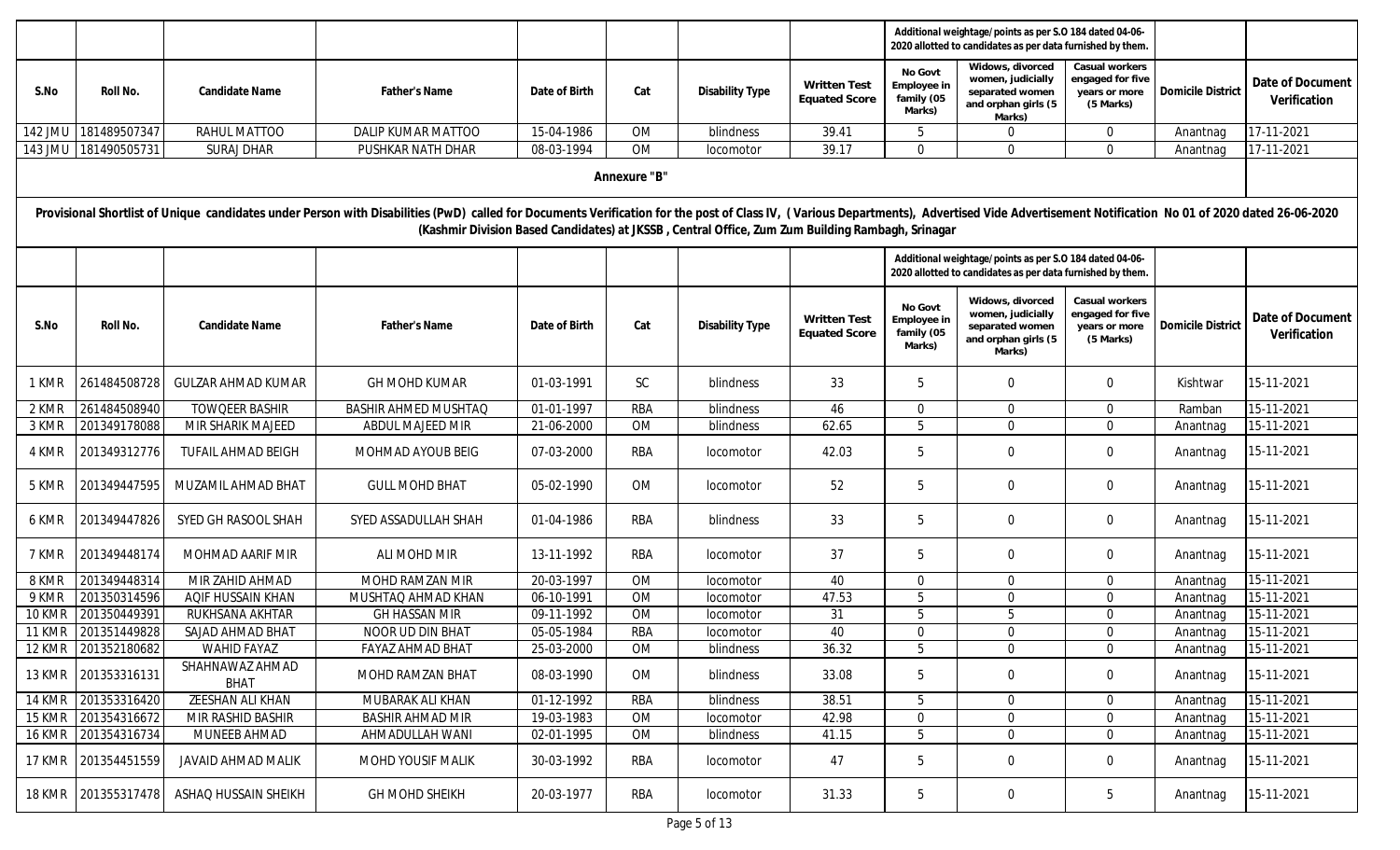|                |                     |                                |                                                                                                                                                                                                                                |               |              |                                                                                                  |                                             | Additional weightage/points as per S.O 184 dated 04-06-<br>2020 allotted to candidates as per data furnished by them<br>Widows, divorced |                                                                                                                      |                                                                  |                          |                                  |
|----------------|---------------------|--------------------------------|--------------------------------------------------------------------------------------------------------------------------------------------------------------------------------------------------------------------------------|---------------|--------------|--------------------------------------------------------------------------------------------------|---------------------------------------------|------------------------------------------------------------------------------------------------------------------------------------------|----------------------------------------------------------------------------------------------------------------------|------------------------------------------------------------------|--------------------------|----------------------------------|
| S.No           | Roll No.            | Candidate Name                 | Father's Name                                                                                                                                                                                                                  | Date of Birth | Cat          | Disability Type                                                                                  | <b>Written Test</b><br><b>Equated Score</b> | No Govt<br>Employee in<br>family (05<br>Marks)                                                                                           | women, judicially<br>separated women<br>and orphan girls (5<br>Marks)                                                | Casual workers<br>engaged for five<br>years or more<br>(5 Marks) | <b>Domicile District</b> | Date of Document<br>Verification |
| <b>142 JMU</b> | 181489507347        | RAHUL MATTOO                   | <b>DALIP KUMAR MATTOO</b>                                                                                                                                                                                                      | 15-04-1986    | <b>OM</b>    | blindness                                                                                        | 39.41                                       | 5                                                                                                                                        | $\mathbf 0$                                                                                                          | $\Omega$                                                         | Anantnag                 | 17-11-2021                       |
| 143 JMU        | 181490505731        | <b>SURAJ DHAR</b>              | PUSHKAR NATH DHAR                                                                                                                                                                                                              | 08-03-1994    | <b>OM</b>    | locomotor                                                                                        | 39.17                                       | $\mathbf 0$                                                                                                                              | $\Omega$                                                                                                             | $\Omega$                                                         | Anantnag                 | 17-11-2021                       |
|                |                     |                                |                                                                                                                                                                                                                                |               | Annexure "B" |                                                                                                  |                                             |                                                                                                                                          |                                                                                                                      |                                                                  |                          |                                  |
|                |                     |                                | Provisional Shortlist of Unique candidates under Person with Disabilities (PwD) called for Documents Verification for the post of Class IV, (Various Departments), Advertised Vide Advertisement Notification No 01 of 2020 da |               |              | (Kashmir Division Based Candidates) at JKSSB, Central Office, Zum Zum Building Rambagh, Srinagar |                                             |                                                                                                                                          |                                                                                                                      |                                                                  |                          |                                  |
|                |                     |                                |                                                                                                                                                                                                                                |               |              |                                                                                                  |                                             |                                                                                                                                          | Additional weightage/points as per S.O 184 dated 04-06-<br>2020 allotted to candidates as per data furnished by them |                                                                  |                          |                                  |
| S.No           | Roll No.            | Candidate Name                 | <b>Father's Name</b>                                                                                                                                                                                                           | Date of Birth | Cat          | Disability Type                                                                                  | <b>Written Test</b><br><b>Equated Score</b> | No Govt<br>Employee in<br>family (05<br>Marks)                                                                                           | Widows, divorced<br>women, judicially<br>separated women<br>and orphan girls (5<br>Marks)                            | Casual workers<br>engaged for five<br>years or more<br>(5 Marks) | <b>Domicile District</b> | Date of Document<br>Verification |
| 1 KMR          | 261484508728        | <b>GULZAR AHMAD KUMAR</b>      | <b>GH MOHD KUMAR</b>                                                                                                                                                                                                           | 01-03-1991    | SC           | blindness                                                                                        | 33                                          | 5                                                                                                                                        | $\overline{0}$                                                                                                       | $\Omega$                                                         | Kishtwar                 | 15-11-2021                       |
| 2 KMR          | 261484508940        | <b>TOWQEER BASHIR</b>          | <b>BASHIR AHMED MUSHTAQ</b>                                                                                                                                                                                                    | 01-01-1997    | <b>RBA</b>   | blindness                                                                                        | 46                                          | $\mathbf 0$                                                                                                                              | $\mathbf{0}$                                                                                                         | $\Omega$                                                         | Ramban                   | 15-11-2021                       |
| 3 KMR          | 201349178088        | MIR SHARIK MAJEED              | ABDUL MAJEED MIR                                                                                                                                                                                                               | 21-06-2000    | <b>OM</b>    | blindness                                                                                        | 62.65                                       | 5                                                                                                                                        | $\Omega$                                                                                                             | $\Omega$                                                         | Anantnag                 | 15-11-2021                       |
| 4 KMR          | 201349312776        | TUFAIL AHMAD BEIGH             | MOHMAD AYOUB BEIG                                                                                                                                                                                                              | 07-03-2000    | <b>RBA</b>   | locomotor                                                                                        | 42.03                                       | 5                                                                                                                                        | $\mathbf 0$                                                                                                          | $\mathbf{0}$                                                     | Anantnag                 | 15-11-2021                       |
| 5 KMR          | 201349447595        | MUZAMIL AHMAD BHAT             | <b>GULL MOHD BHAT</b>                                                                                                                                                                                                          | 05-02-1990    | OM           | locomotor                                                                                        | 52                                          | 5                                                                                                                                        | $\mathbf 0$                                                                                                          | $\mathbf 0$                                                      | Anantnag                 | 15-11-2021                       |
| 6 KMR          | 201349447826        | SYED GH RASOOL SHAH            | SYED ASSADULLAH SHAH                                                                                                                                                                                                           | 01-04-1986    | <b>RBA</b>   | blindness                                                                                        | 33                                          | 5                                                                                                                                        | $\mathbf 0$                                                                                                          | $\mathbf 0$                                                      | Anantnag                 | 15-11-2021                       |
| 7 KMR          | 201349448174        | MOHMAD AARIF MIR               | ALI MOHD MIR                                                                                                                                                                                                                   | 13-11-1992    | <b>RBA</b>   | locomotor                                                                                        | 37                                          | 5                                                                                                                                        | $\overline{0}$                                                                                                       | $\Omega$                                                         | Anantnag                 | 15-11-2021                       |
| 8 KMR          | 201349448314        | MIR ZAHID AHMAD                | MOHD RAMZAN MIR                                                                                                                                                                                                                | 20-03-1997    | OM           | locomotor                                                                                        | 40                                          | $\mathbf 0$                                                                                                                              | $\Omega$                                                                                                             | $\Omega$                                                         | Anantnag                 | 15-11-2021                       |
| 9 KMR          | 201350314596        | AQIF HUSSAIN KHAN              | MUSHTAQ AHMAD KHAN                                                                                                                                                                                                             | 06-10-1991    | OM           | locomotor                                                                                        | 47.53                                       | 5                                                                                                                                        | $\Omega$                                                                                                             | $\Omega$                                                         | Anantnag                 | 15-11-2021                       |
| 10 KMR         | 201350449391        | RUKHSANA AKHTAR                | <b>GH HASSAN MIR</b>                                                                                                                                                                                                           | 09-11-1992    | <b>OM</b>    | locomotor                                                                                        | 31                                          | $5\phantom{.0}$                                                                                                                          | .5                                                                                                                   | $\Omega$                                                         | Anantnag                 | 15-11-2021                       |
| 11 KMR         | 201351449828        | SAJAD AHMAD BHAT               | NOOR UD DIN BHAT                                                                                                                                                                                                               | 05-05-1984    | <b>RBA</b>   | locomotor                                                                                        | 40                                          | $\mathbf 0$                                                                                                                              | $\Omega$                                                                                                             | $\Omega$                                                         | Anantnag                 | 15-11-2021                       |
|                | 12 KMR 201352180682 | <b>WAHID FAYAZ</b>             | <b>FAYAZ AHMAD BHAT</b>                                                                                                                                                                                                        | 25-03-2000    | OM           | blindness                                                                                        | 36.32                                       | 5                                                                                                                                        | $\overline{0}$                                                                                                       | $\overline{0}$                                                   | Anantnag                 | 15-11-2021                       |
|                | 13 KMR 201353316131 | SHAHNAWAZ AHMAD<br><b>BHAT</b> | <b>MOHD RAMZAN BHAT</b>                                                                                                                                                                                                        | 08-03-1990    | OM           | blindness                                                                                        | 33.08                                       | 5                                                                                                                                        | $\mathbf 0$                                                                                                          | $\overline{0}$                                                   | Anantnag                 | 15-11-2021                       |
| 14 KMR         | 201353316420        | ZEESHAN ALI KHAN               | MUBARAK ALI KHAN                                                                                                                                                                                                               | 01-12-1992    | <b>RBA</b>   | blindness                                                                                        | 38.51                                       | 5                                                                                                                                        | $\mathbf{0}$                                                                                                         | $\Omega$                                                         | Anantnag                 | 15-11-2021                       |
|                | 15 KMR 201354316672 | MIR RASHID BASHIR              | <b>BASHIR AHMAD MIR</b>                                                                                                                                                                                                        | 19-03-1983    | OM           | locomotor                                                                                        | 42.98                                       | $\overline{0}$                                                                                                                           | $\Omega$                                                                                                             | $\Omega$                                                         | Anantnag                 | 15-11-2021                       |
|                | 16 KMR 201354316734 | MUNEEB AHMAD                   | AHMADULLAH WANI                                                                                                                                                                                                                | 02-01-1995    | OM           | blindness                                                                                        | 41.15                                       | $5\phantom{.}$                                                                                                                           | $\mathbf{0}$                                                                                                         | $\Omega$                                                         | Anantnag                 | 15-11-2021                       |
|                | 17 KMR 201354451559 | JAVAID AHMAD MALIK             | MOHD YOUSIF MALIK                                                                                                                                                                                                              | 30-03-1992    | RBA          | <i>locomotor</i>                                                                                 | 47                                          | 5                                                                                                                                        | $\mathbf 0$                                                                                                          | $\overline{0}$                                                   | Anantnag                 | 15-11-2021                       |
|                | 18 KMR 201355317478 | ASHAQ HUSSAIN SHEIKH           | <b>GH MOHD SHEIKH</b>                                                                                                                                                                                                          | 20-03-1977    | rba          | locomotor                                                                                        | 31.33                                       | 5                                                                                                                                        | 0                                                                                                                    | 5                                                                | Anantnag                 | 15-11-2021                       |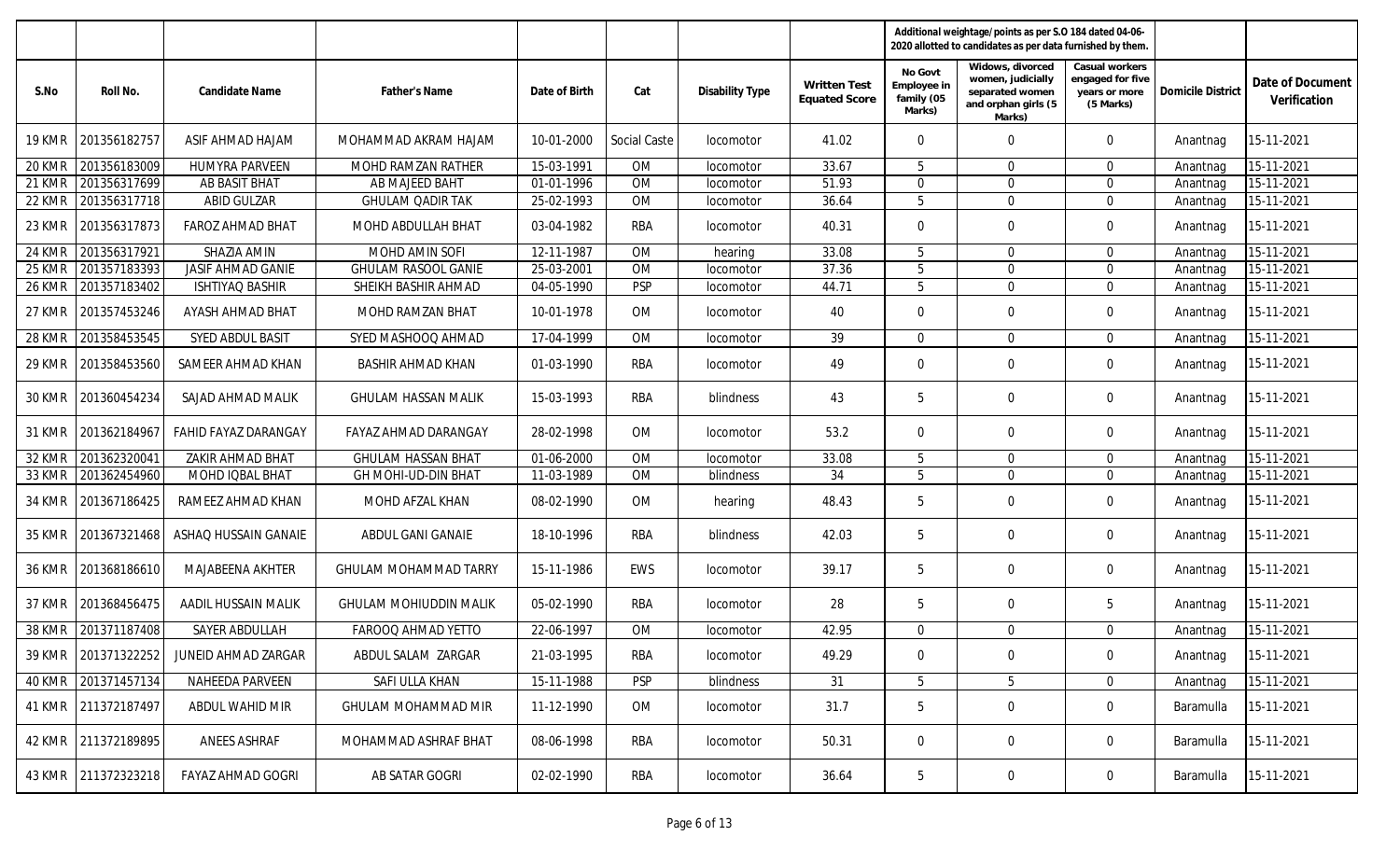|               |                     |                          |                               |               |                     |                  |                                             |                                                | Additional weightage/points as per S.O 184 dated 04-06-<br>2020 allotted to candidates as per data furnished by them. |                                                                  |                          |                                  |
|---------------|---------------------|--------------------------|-------------------------------|---------------|---------------------|------------------|---------------------------------------------|------------------------------------------------|-----------------------------------------------------------------------------------------------------------------------|------------------------------------------------------------------|--------------------------|----------------------------------|
| S.No          | Roll No.            | Candidate Name           | <b>Father's Name</b>          | Date of Birth | Cat                 | Disability Type  | <b>Written Test</b><br><b>Equated Score</b> | No Govt<br>Employee in<br>family (05<br>Marks) | Widows, divorced<br>women, judicially<br>separated women<br>and orphan girls (5<br>Marks)                             | Casual workers<br>engaged for five<br>years or more<br>(5 Marks) | <b>Domicile District</b> | Date of Document<br>Verification |
| 19 KMR        | 201356182757        | ASIF AHMAD HAJAM         | MOHAMMAD AKRAM HAJAM          | 10-01-2000    | <b>Social Caste</b> | <i>locomotor</i> | 41.02                                       | $\mathbf{0}$                                   | $\Omega$                                                                                                              | $\Omega$                                                         | Anantnag                 | 15-11-2021                       |
| 20 KMR        | 201356183009        | <b>HUMYRA PARVEEN</b>    | MOHD RAMZAN RATHER            | 15-03-1991    | OM                  | locomotor        | 33.67                                       | 5                                              | $\Omega$                                                                                                              | $\Omega$                                                         | Anantnag                 | 15-11-2021                       |
| 21 KMR        | 201356317699        | AB BASIT BHAT            | AB MAJEED BAHT                | 01-01-1996    | OM                  | locomotor        | 51.93                                       | $\mathbf{0}$                                   | $\Omega$                                                                                                              | $\Omega$                                                         | Anantnag                 | 15-11-2021                       |
| 22 KMR        | 201356317718        | <b>ABID GULZAR</b>       | <b>GHULAM QADIR TAK</b>       | 25-02-1993    | <b>OM</b>           | locomotor        | 36.64                                       | 5                                              | $\Omega$                                                                                                              | $\Omega$                                                         | Anantnag                 | 15-11-2021                       |
| 23 KMR        | 201356317873        | FAROZ AHMAD BHAT         | MOHD ABDULLAH BHAT            | 03-04-1982    | RBA                 | <i>locomotor</i> | 40.31                                       | $\mathbf{0}$                                   | $\mathbf 0$                                                                                                           | $\overline{0}$                                                   | Anantnag                 | 15-11-2021                       |
| 24 KMR        | 201356317921        | SHAZIA AMIN              | MOHD AMIN SOFI                | 12-11-1987    | <b>OM</b>           | hearing          | 33.08                                       | 5                                              | $\mathbf 0$                                                                                                           | $\Omega$                                                         | Anantnag                 | 15-11-2021                       |
| 25 KMR        | 201357183393        | JASIF AHMAD GANIE        | <b>GHULAM RASOOL GANIE</b>    | 25-03-2001    | OM                  | locomotor        | 37.36                                       | 5                                              | $\mathbf 0$                                                                                                           | $\mathbf{0}$                                                     | Anantnag                 | 15-11-2021                       |
| 26 KMR        | 201357183402        | <b>ISHTIYAQ BASHIR</b>   | SHEIKH BASHIR AHMAD           | 04-05-1990    | <b>PSP</b>          | locomotor        | 44.71                                       | 5                                              | $\mathbf 0$                                                                                                           | $\Omega$                                                         | Anantnag                 | 15-11-2021                       |
| 27 KMR        | 201357453246        | AYASH AHMAD BHAT         | <b>MOHD RAMZAN BHAT</b>       | 10-01-1978    | OM                  | locomotor        | 40                                          | $\mathbf{0}$                                   | $\mathbf 0$                                                                                                           | $\Omega$                                                         | Anantnag                 | 15-11-2021                       |
| 28 KMR        | 201358453545        | SYED ABDUL BASIT         | SYED MASHOOQ AHMAD            | 17-04-1999    | OM                  | locomotor        | 39                                          | $\mathbf 0$                                    | $\mathbf 0$                                                                                                           | $\Omega$                                                         | Anantnag                 | 15-11-2021                       |
| <b>29 KMR</b> | 201358453560        | SAMEER AHMAD KHAN        | <b>BASHIR AHMAD KHAN</b>      | 01-03-1990    | <b>RBA</b>          | locomotor        | 49                                          | $\mathbf{0}$                                   | $\mathbf 0$                                                                                                           | $\Omega$                                                         | Anantnag                 | 15-11-2021                       |
| 30 KMR        | 201360454234        | SAJAD AHMAD MALIK        | <b>GHULAM HASSAN MALIK</b>    | 15-03-1993    | RBA                 | blindness        | 43                                          | 5                                              | $\mathbf 0$                                                                                                           | $\Omega$                                                         | Anantnag                 | 15-11-2021                       |
| 31 KMR        | 201362184967        | FAHID FAYAZ DARANGAY     | FAYAZ AHMAD DARANGAY          | 28-02-1998    | OM                  | locomotor        | 53.2                                        | $\mathbf{0}$                                   | $\mathbf 0$                                                                                                           | $\overline{0}$                                                   | Anantnag                 | 15-11-2021                       |
| 32 KMR        | 20136232004         | ZAKIR AHMAD BHAT         | <b>GHULAM HASSAN BHAT</b>     | 01-06-2000    | OM                  | locomotor        | 33.08                                       | 5                                              | $\Omega$                                                                                                              | $\Omega$                                                         | Anantnag                 | 15-11-2021                       |
| 33 KMR        | 201362454960        | MOHD IQBAL BHAT          | GH MOHI-UD-DIN BHAT           | 11-03-1989    | OM                  | blindness        | 34                                          | 5                                              | $\Omega$                                                                                                              | $\Omega$                                                         | Anantnag                 | 15-11-2021                       |
| 34 KMR        | 201367186425        | RAMEEZ AHMAD KHAN        | MOHD AFZAL KHAN               | 08-02-1990    | OM                  | hearing          | 48.43                                       | 5                                              | $\mathbf 0$                                                                                                           | $\mathbf{0}$                                                     | Anantnag                 | 15-11-2021                       |
| 35 KMR        | 201367321468        | ASHAQ HUSSAIN GANAIE     | ABDUL GANI GANAIE             | 18-10-1996    | RBA                 | blindness        | 42.03                                       | 5                                              | $\mathbf 0$                                                                                                           | $\mathbf 0$                                                      | Anantnag                 | 15-11-2021                       |
| 36 KMR        | 201368186610        | MAJABEENA AKHTER         | <b>GHULAM MOHAMMAD TARRY</b>  | 15-11-1986    | EWS                 | locomotor        | 39.17                                       | 5                                              | 0                                                                                                                     | $\mathbf 0$                                                      | Anantnag                 | 15-11-2021                       |
| 37 KMR        | 201368456475        | AADIL HUSSAIN MALIK      | <b>GHULAM MOHIUDDIN MALIK</b> | 05-02-1990    | RBA                 | locomotor        | 28                                          | 5                                              | $\mathbf 0$                                                                                                           | 5                                                                | Anantnag                 | 15-11-2021                       |
| 38 KMR        | 201371187408        | SAYER ABDULLAH           | FAROOQ AHMAD YETTO            | 22-06-1997    | OM                  | locomotor        | 42.95                                       | $\overline{0}$                                 | $\mathbf 0$                                                                                                           | $\Omega$                                                         | Anantnag                 | 15-11-2021                       |
|               | 39 KMR 201371322252 | JUNEID AHMAD ZARGAR      | ABDUL SALAM ZARGAR            | 21-03-1995    | <b>RBA</b>          | locomotor        | 49.29                                       | $\mathbf 0$                                    | $\mathbf 0$                                                                                                           | $\mathbf 0$                                                      | Anantnag                 | 15-11-2021                       |
| 40 KMR        | 201371457134        | NAHEEDA PARVEEN          | SAFI ULLA KHAN                | 15-11-1988    | <b>PSP</b>          | blindness        | 31                                          | $5\phantom{.0}$                                | 5                                                                                                                     | $\overline{0}$                                                   | Anantnag                 | 15-11-2021                       |
|               | 41 KMR 211372187497 | ABDUL WAHID MIR          | GHULAM MOHAMMAD MIR           | 11-12-1990    | OM                  | locomotor        | 31.7                                        | 5                                              | $\mathbf 0$                                                                                                           | $\mathbf 0$                                                      | Baramulla                | 15-11-2021                       |
|               | 42 KMR 211372189895 | ANEES ASHRAF             | MOHAMMAD ASHRAF BHAT          | 08-06-1998    | RBA                 | locomotor        | 50.31                                       | 0                                              | 0                                                                                                                     | $\mathbf 0$                                                      | Baramulla                | 15-11-2021                       |
|               | 43 KMR 211372323218 | <b>FAYAZ AHMAD GOGRI</b> | AB SATAR GOGRI                | 02-02-1990    | RBA                 | locomotor        | 36.64                                       | $5\phantom{.0}$                                | $\overline{0}$                                                                                                        | $\overline{0}$                                                   | Baramulla                | 15-11-2021                       |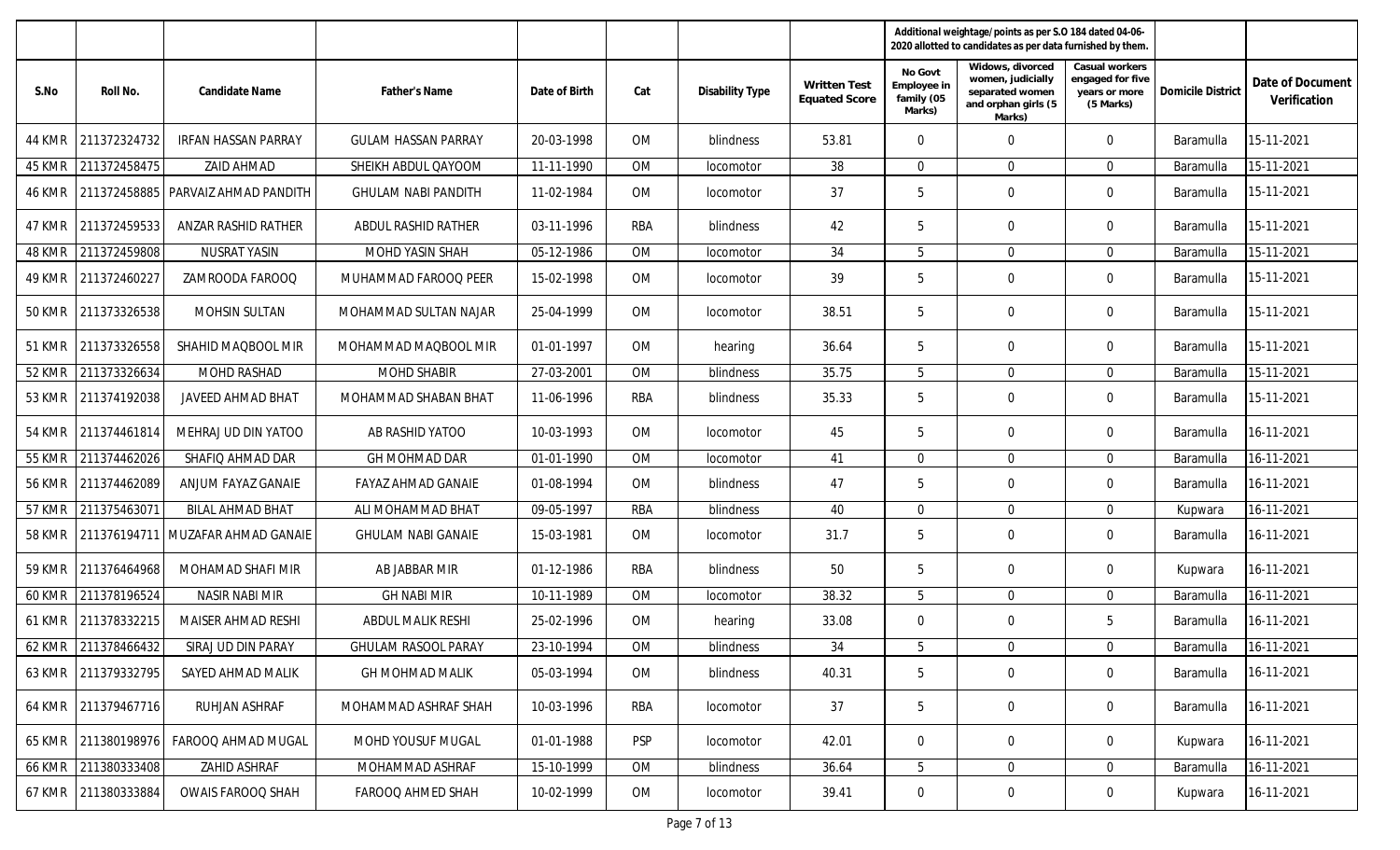|               |                     |                                        |                            |               |            |                        |                                             |                                                | Additional weightage/points as per S.O 184 dated 04-06-<br>2020 allotted to candidates as per data furnished by them. |                                                                  |                          |                                  |
|---------------|---------------------|----------------------------------------|----------------------------|---------------|------------|------------------------|---------------------------------------------|------------------------------------------------|-----------------------------------------------------------------------------------------------------------------------|------------------------------------------------------------------|--------------------------|----------------------------------|
| S.No          | Roll No.            | Candidate Name                         | <b>Father's Name</b>       | Date of Birth | Cat        | <b>Disability Type</b> | <b>Written Test</b><br><b>Equated Score</b> | No Govt<br>Employee in<br>family (05<br>Marks) | Widows, divorced<br>women, judicially<br>separated women<br>and orphan girls (5<br>Marks)                             | Casual workers<br>engaged for five<br>years or more<br>(5 Marks) | <b>Domicile District</b> | Date of Document<br>Verification |
| 44 KMR        | 211372324732        | <b>IRFAN HASSAN PARRAY</b>             | <b>GULAM HASSAN PARRAY</b> | 20-03-1998    | <b>OM</b>  | blindness              | 53.81                                       | $\Omega$                                       | $\mathbf 0$                                                                                                           | $\mathbf 0$                                                      | <b>Baramulla</b>         | 15-11-2021                       |
| 45 KMR        | 211372458475        | <b>ZAID AHMAD</b>                      | SHEIKH ABDUL QAYOOM        | 11-11-1990    | <b>OM</b>  | locomotor              | 38                                          | $\overline{0}$                                 | $\mathbf 0$                                                                                                           | $\overline{0}$                                                   | Baramulla                | 15-11-2021                       |
| 46 KMR        |                     | 211372458885 PARVAIZ AHMAD PANDITH     | <b>GHULAM NABI PANDITH</b> | 11-02-1984    | <b>OM</b>  | locomotor              | 37                                          | 5                                              | $\mathbf 0$                                                                                                           | $\mathbf 0$                                                      | <b>Baramulla</b>         | 15-11-2021                       |
| 47 KMR        | 211372459533        | ANZAR RASHID RATHER                    | ABDUL RASHID RATHER        | 03-11-1996    | RBA        | blindness              | 42                                          | 5                                              | $\mathbf 0$                                                                                                           | $\overline{0}$                                                   | <b>Baramulla</b>         | 15-11-2021                       |
| 48 KMR        | 211372459808        | <b>NUSRAT YASIN</b>                    | MOHD YASIN SHAH            | 05-12-1986    | <b>OM</b>  | locomotor              | 34                                          | 5                                              | $\mathbf 0$                                                                                                           | $\Omega$                                                         | Baramulla                | 15-11-2021                       |
| 49 KMR        | 211372460227        | ZAMROODA FAROOQ                        | MUHAMMAD FAROOQ PEER       | 15-02-1998    | <b>OM</b>  | <i>locomotor</i>       | 39                                          | 5                                              | $\mathbf 0$                                                                                                           | $\mathbf 0$                                                      | <b>Baramulla</b>         | 15-11-2021                       |
| 50 KMR        | 211373326538        | <b>MOHSIN SULTAN</b>                   | MOHAMMAD SULTAN NAJAR      | 25-04-1999    | <b>OM</b>  | locomotor              | 38.51                                       | 5                                              | $\mathbf 0$                                                                                                           | $\overline{0}$                                                   | <b>Baramulla</b>         | 15-11-2021                       |
| 51 KMR        | 211373326558        | SHAHID MAOBOOL MIR                     | MOHAMMAD MAQBOOL MIR       | 01-01-1997    | <b>OM</b>  | hearing                | 36.64                                       | 5                                              | $\mathbf 0$                                                                                                           | $\Omega$                                                         | <b>Baramulla</b>         | 15-11-2021                       |
| $52$ KMR      | 211373326634        | MOHD RASHAD                            | <b>MOHD SHABIR</b>         | 27-03-2001    | OM         | blindness              | 35.75                                       | 5                                              | $\mathbf 0$                                                                                                           | $\Omega$                                                         | Baramulla                | 15-11-2021                       |
| 53 KMR        | 211374192038        | <b>JAVEED AHMAD BHAT</b>               | MOHAMMAD SHABAN BHAT       | 11-06-1996    | RBA        | blindness              | 35.33                                       | 5                                              | $\mathbf 0$                                                                                                           | $\mathbf 0$                                                      | <b>Baramulla</b>         | 15-11-2021                       |
| 54 KMR        | 211374461814        | MEHRAJ UD DIN YATOO                    | AB RASHID YATOO            | 10-03-1993    | <b>OM</b>  | locomotor              | 45                                          | 5                                              | $\mathbf 0$                                                                                                           | $\mathbf 0$                                                      | <b>Baramulla</b>         | 16-11-2021                       |
| 55 KMR        | 211374462026        | SHAFIQ AHMAD DAR                       | GH MOHMAD DAR              | 01-01-1990    | <b>OM</b>  | locomotor              | 41                                          | $\overline{0}$                                 | $\Omega$                                                                                                              | $\Omega$                                                         | Baramulla                | 16-11-2021                       |
| <b>56 KMR</b> | 211374462089        | ANJUM FAYAZ GANAIE                     | FAYAZ AHMAD GANAIE         | 01-08-1994    | <b>OM</b>  | blindness              | 47                                          | 5                                              | $\mathbf 0$                                                                                                           | $\overline{0}$                                                   | <b>Baramulla</b>         | 16-11-2021                       |
| 57 KMR        | 211375463071        | <b>BILAL AHMAD BHAT</b>                | ALI MOHAMMAD BHAT          | 09-05-1997    | RBA        | blindness              | 40                                          | $\overline{0}$                                 | $\Omega$                                                                                                              | $\Omega$                                                         | Kupwara                  | 16-11-2021                       |
| <b>58 KMR</b> |                     | 211376194711   MUZAFAR AHMAD GANAIE    | <b>GHULAM NABI GANAIE</b>  | 15-03-1981    | OM         | locomotor              | 31.7                                        | 5                                              | $\mathbf 0$                                                                                                           | $\mathbf{0}$                                                     | <b>Baramulla</b>         | 16-11-2021                       |
| 59 KMR        | 211376464968        | MOHAMAD SHAFI MIR                      | AB JABBAR MIR              | 01-12-1986    | RBA        | blindness              | 50                                          | 5                                              | 0                                                                                                                     | $\overline{0}$                                                   | Kupwara                  | 16-11-2021                       |
| 60 KMR        | 211378196524        | <b>NASIR NABI MIR</b>                  | <b>GH NABI MIR</b>         | 10-11-1989    | OM         | locomotor              | 38.32                                       | 5                                              | $\mathbf{0}$                                                                                                          | $\overline{0}$                                                   | <b>Baramulla</b>         | 16-11-2021                       |
| 61 KMR        | 211378332215        | <b>MAISER AHMAD RESHI</b>              | ABDUL MALIK RESHI          | 25-02-1996    | <b>OM</b>  | hearing                | 33.08                                       | 0                                              | $\mathbf 0$                                                                                                           | 5                                                                | <b>Baramulla</b>         | 16-11-2021                       |
|               | 62 KMR 211378466432 | SIRAJ UD DIN PARAY                     | <b>GHULAM RASOOL PARAY</b> | 23-10-1994    | OM         | blindness              | 34                                          | $5^{\circ}$                                    | $\mathbf 0$                                                                                                           | $\mathbf 0$                                                      | Baramulla                | 16-11-2021                       |
|               | 63 KMR 211379332795 | SAYED AHMAD MALIK                      | <b>GH MOHMAD MALIK</b>     | 05-03-1994    | OM         | blindness              | 40.31                                       | 5                                              | $\mathbf 0$                                                                                                           | $\overline{0}$                                                   | Baramulla                | 16-11-2021                       |
|               | 64 KMR 211379467716 | RUHJAN ASHRAF                          | MOHAMMAD ASHRAF SHAH       | 10-03-1996    | RBA        | locomotor              | 37                                          | 5                                              | $\mathbf 0$                                                                                                           | $\mathbf 0$                                                      | Baramulla                | 16-11-2021                       |
|               |                     | 65 KMR 211380198976 FAROOQ AHMAD MUGAL | MOHD YOUSUF MUGAL          | 01-01-1988    | <b>PSP</b> | locomotor              | 42.01                                       | $\mathbf 0$                                    | $\mathbf 0$                                                                                                           | $\overline{0}$                                                   | Kupwara                  | 16-11-2021                       |
| 66 KMR        | 211380333408        | ZAHID ASHRAF                           | MOHAMMAD ASHRAF            | 15-10-1999    | OM         | blindness              | 36.64                                       | 5 <sup>5</sup>                                 | $\mathbf 0$                                                                                                           | $\overline{0}$                                                   | Baramulla                | 16-11-2021                       |
|               | 67 KMR 211380333884 | <b>OWAIS FAROOQ SHAH</b>               | FAROOQ AHMED SHAH          | 10-02-1999    | OM         | locomotor              | 39.41                                       | $\mathbf 0$                                    | $\overline{0}$                                                                                                        | $\overline{0}$                                                   | Kupwara                  | 16-11-2021                       |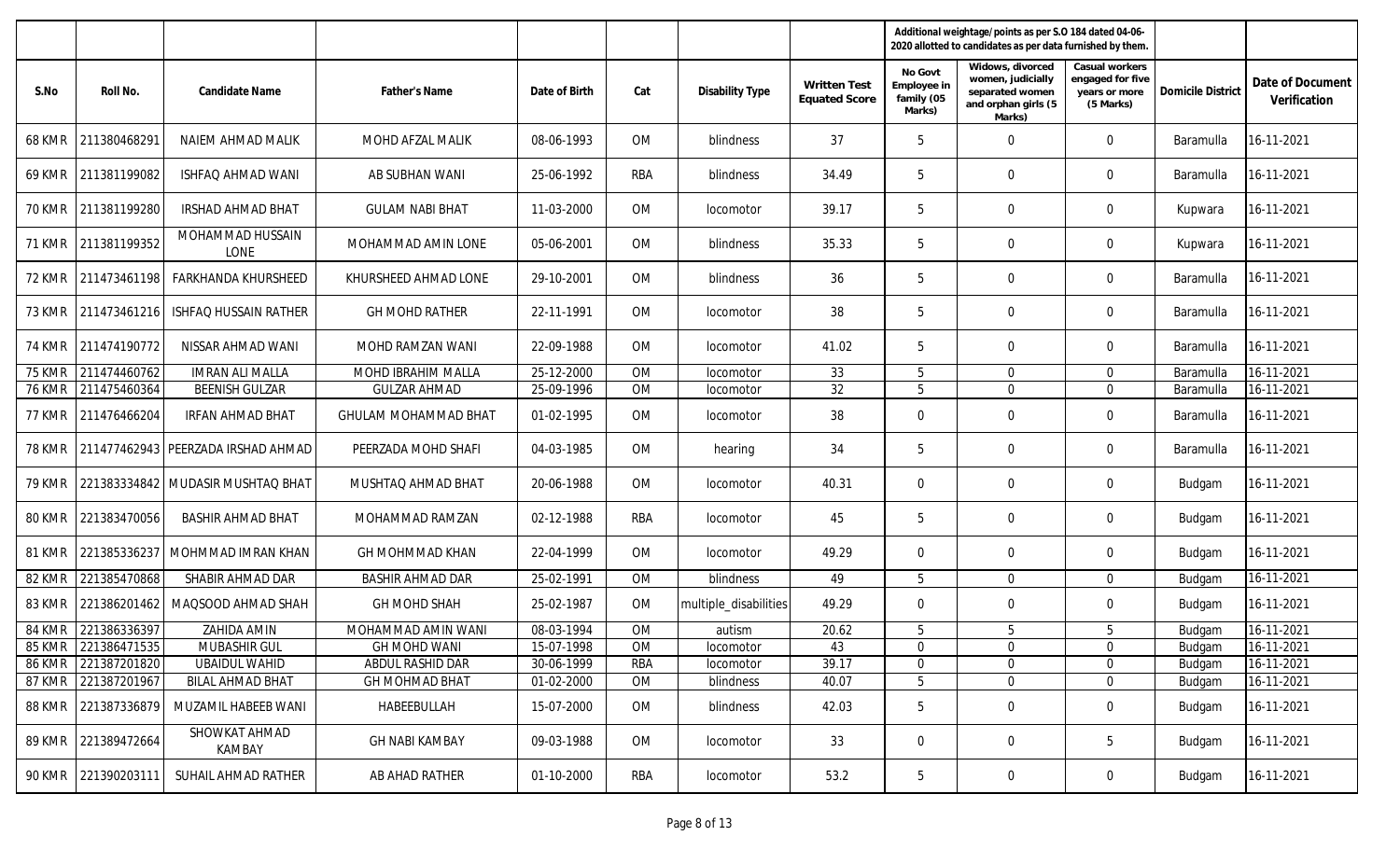|               |                     |                                    |                             |               |            |                       |                                             | Additional weightage/points as per S.O 184 dated 04-06-<br>2020 allotted to candidates as per data furnished by them. |                                                                                           |                                                                  |                          |                                  |
|---------------|---------------------|------------------------------------|-----------------------------|---------------|------------|-----------------------|---------------------------------------------|-----------------------------------------------------------------------------------------------------------------------|-------------------------------------------------------------------------------------------|------------------------------------------------------------------|--------------------------|----------------------------------|
| S.No          | Roll No.            | Candidate Name                     | <b>Father's Name</b>        | Date of Birth | Cat        | Disability Type       | <b>Written Test</b><br><b>Equated Score</b> | No Govt<br>Employee in<br>family (05<br>Marks)                                                                        | Widows, divorced<br>women, judicially<br>separated women<br>and orphan girls (5<br>Marks) | Casual workers<br>engaged for five<br>years or more<br>(5 Marks) | <b>Domicile District</b> | Date of Document<br>Verification |
| 68 KMR        | 211380468291        | NAIEM AHMAD MALIK                  | MOHD AFZAL MALIK            | 08-06-1993    | OM         | blindness             | 37                                          | 5                                                                                                                     | $\mathbf 0$                                                                               | $\mathbf 0$                                                      | Baramulla                | 16-11-2021                       |
| 69 KMR        | 211381199082        | ISHFAQ AHMAD WANI                  | AB SUBHAN WANI              | 25-06-1992    | <b>RBA</b> | blindness             | 34.49                                       | 5                                                                                                                     | $\Omega$                                                                                  | $\mathbf 0$                                                      | Baramulla                | 16-11-2021                       |
| 70 KMR        | 211381199280        | <b>IRSHAD AHMAD BHAT</b>           | <b>GULAM NABI BHAT</b>      | 11-03-2000    | <b>OM</b>  | locomotor             | 39.17                                       | 5                                                                                                                     | $\Omega$                                                                                  | $\mathbf 0$                                                      | Kupwara                  | 16-11-2021                       |
| 71 KMR        | 211381199352        | MOHAMMAD HUSSAIN<br>LONE           | MOHAMMAD AMIN LONE          | 05-06-2001    | OM         | blindness             | 35.33                                       | 5                                                                                                                     | $\Omega$                                                                                  | $\mathbf 0$                                                      | Kupwara                  | 16-11-2021                       |
| 72 KMR        | 211473461198        | <b>FARKHANDA KHURSHEED</b>         | KHURSHEED AHMAD LONE        | 29-10-2001    | OM         | blindness             | 36                                          | 5                                                                                                                     | $\Omega$                                                                                  | $\mathbf 0$                                                      | Baramulla                | 16-11-2021                       |
| 73 KMR        | 211473461216        | <b>ISHFAQ HUSSAIN RATHER</b>       | <b>GH MOHD RATHER</b>       | 22-11-1991    | OM         | locomotor             | 38                                          | 5                                                                                                                     | $\Omega$                                                                                  | $\mathbf 0$                                                      | <b>Baramulla</b>         | 16-11-2021                       |
| 74 KMR        | 211474190772        | NISSAR AHMAD WANI                  | MOHD RAMZAN WANI            | 22-09-1988    | OM         | locomotor             | 41.02                                       | 5                                                                                                                     | $\Omega$                                                                                  | $\mathbf 0$                                                      | Baramulla                | 16-11-2021                       |
| <b>75 KMR</b> | 211474460762        | <b>IMRAN ALI MALLA</b>             | MOHD IBRAHIM MALLA          | 25-12-2000    | OM         | locomotor             | 33                                          | 5                                                                                                                     | $\mathbf 0$                                                                               | $\overline{0}$                                                   | Baramulla                | 16-11-2021                       |
| <b>76 KMR</b> | 211475460364        | <b>BEENISH GULZAR</b>              | <b>GULZAR AHMAD</b>         | 25-09-1996    | OM         | locomotor             | 32                                          | 5                                                                                                                     | $\Omega$                                                                                  | $\Omega$                                                         | Baramulla                | 16-11-2021                       |
| 77 KMR        | 211476466204        | <b>IRFAN AHMAD BHAT</b>            | <b>GHULAM MOHAMMAD BHAT</b> | 01-02-1995    | OM         | locomotor             | 38                                          | $\mathbf{0}$                                                                                                          | $\mathbf 0$                                                                               | $\Omega$                                                         | Baramulla                | 16-11-2021                       |
| <b>78 KMR</b> |                     | 211477462943 PEERZADA IRSHAD AHMAD | PEERZADA MOHD SHAFI         | 04-03-1985    | 0M         | hearing               | 34                                          | 5                                                                                                                     | $\Omega$                                                                                  | $\mathbf 0$                                                      | Baramulla                | 16-11-2021                       |
| 79 KMR        |                     | 221383334842 MUDASIR MUSHTAQ BHAT  | MUSHTAQ AHMAD BHAT          | 20-06-1988    | <b>OM</b>  | locomotor             | 40.31                                       | $\overline{0}$                                                                                                        | $\Omega$                                                                                  | $\mathbf 0$                                                      | Budgam                   | 16-11-2021                       |
| 80 KMR        | 221383470056        | <b>BASHIR AHMAD BHAT</b>           | MOHAMMAD RAMZAN             | 02-12-1988    | <b>RBA</b> | locomotor             | 45                                          | 5                                                                                                                     | $\Omega$                                                                                  | $\mathbf 0$                                                      | Budgam                   | 16-11-2021                       |
| 81 KMR        |                     | 221385336237 MOHMMAD IMRAN KHAN    | <b>GH MOHMMAD KHAN</b>      | 22-04-1999    | OM         | locomotor             | 49.29                                       | $\mathbf 0$                                                                                                           | $\mathbf 0$                                                                               | $\mathbf 0$                                                      | Budgam                   | 16-11-2021                       |
| 82 KMR        | 221385470868        | SHABIR AHMAD DAR                   | <b>BASHIR AHMAD DAR</b>     | 25-02-1991    | OM         | blindness             | 49                                          | 5                                                                                                                     | $\mathbf 0$                                                                               | $\Omega$                                                         | Budgam                   | 16-11-2021                       |
| 83 KMR        |                     | 221386201462   MAQSOOD AHMAD SHAH  | <b>GH MOHD SHAH</b>         | 25-02-1987    | 0M         | multiple_disabilities | 49.29                                       | $\overline{0}$                                                                                                        | 0                                                                                         | $\mathbf 0$                                                      | Budgam                   | 16-11-2021                       |
| 84 KMR        | 221386336397        | ZAHIDA AMIN                        | MOHAMMAD AMIN WANI          | 08-03-1994    | <b>OM</b>  | autism                | 20.62                                       | 5                                                                                                                     | 5                                                                                         | 5                                                                | Budgam                   | 16-11-2021                       |
|               | 85 KMR 221386471535 | MUBASHIR GUL                       | <b>GH MOHD WANI</b>         | 15-07-1998    | <b>OM</b>  | <i>locomotor</i>      | 43                                          | $\mathbf{0}$                                                                                                          | $\theta$                                                                                  | $\overline{0}$                                                   | <b>Budgam</b>            | 16-11-2021                       |
|               | 86 KMR 221387201820 | <b>UBAIDUL WAHID</b>               | ABDUL RASHID DAR            | 30-06-1999    | <b>RBA</b> | locomotor             | 39.17                                       | $\mathbf 0$                                                                                                           | $\overline{0}$                                                                            | $\mathbf 0$                                                      | Budgam                   | 16-11-2021                       |
|               | 87 KMR 221387201967 | <b>BILAL AHMAD BHAT</b>            | <b>GH MOHMAD BHAT</b>       | 01-02-2000    | OM         | blindness             | 40.07                                       | 5                                                                                                                     | $\mathbf 0$                                                                               | $\mathbf 0$                                                      | Budgam                   | 16-11-2021                       |
|               | 88 KMR 221387336879 | MUZAMIL HABEEB WANI                | HABEEBULLAH                 | 15-07-2000    | OM         | blindness             | 42.03                                       | 5                                                                                                                     | 0                                                                                         | $\mathbf 0$                                                      | Budgam                   | 16-11-2021                       |
|               | 89 KMR 221389472664 | SHOWKAT AHMAD<br>KAMBAY            | <b>GH NABI KAMBAY</b>       | 09-03-1988    | OM         | locomotor             | 33                                          | $\mathbf 0$                                                                                                           | 0                                                                                         | 5                                                                | Budgam                   | 16-11-2021                       |
|               | 90 KMR 221390203111 | SUHAIL AHMAD RATHER                | AB AHAD RATHER              | 01-10-2000    | RBA        | locomotor             | 53.2                                        | 5                                                                                                                     | $\boldsymbol{0}$                                                                          | $\overline{0}$                                                   | Budgam                   | 16-11-2021                       |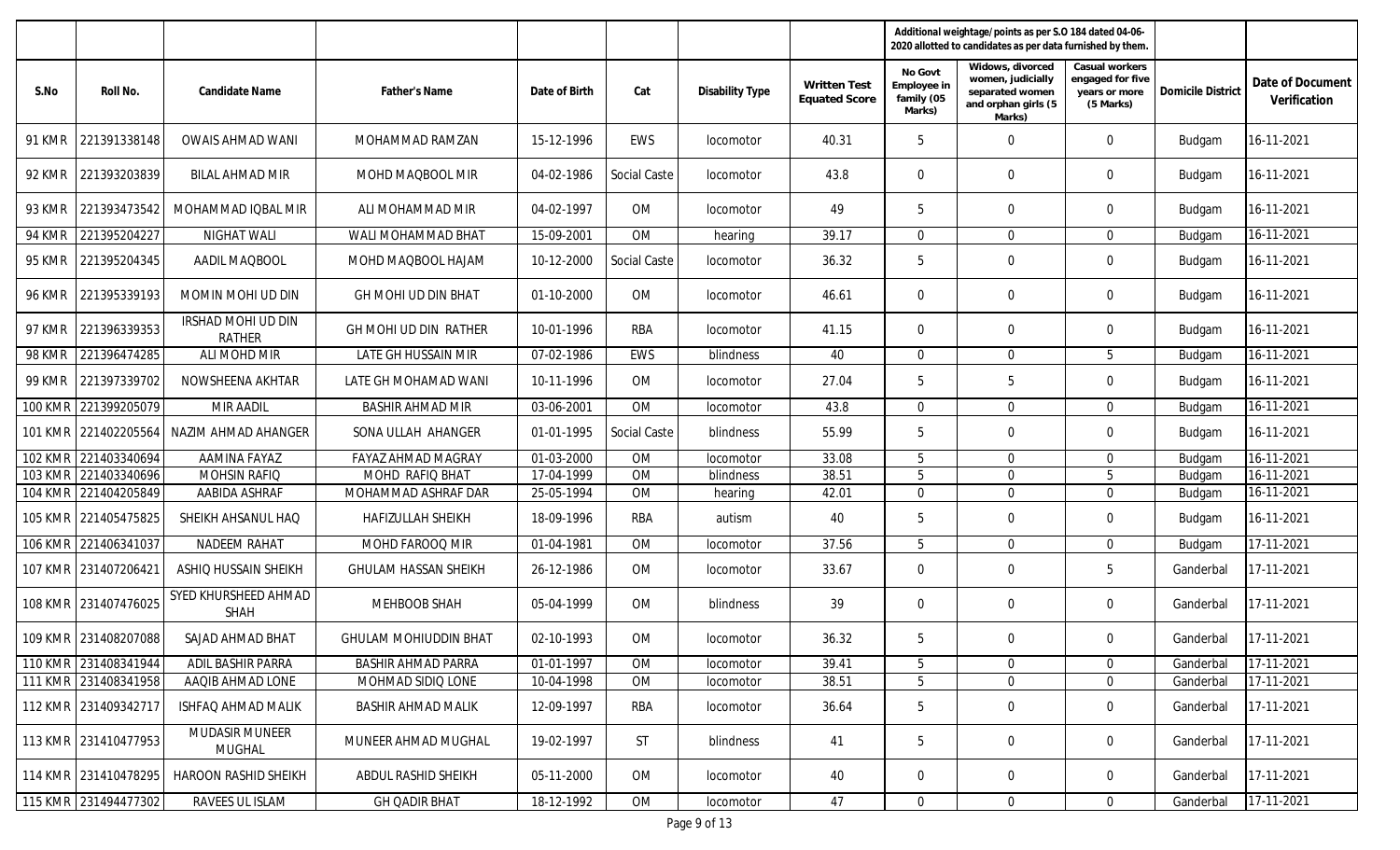|                |                      |                                     |                              |               |              |                  |                                             |                                                | Additional weightage/points as per S.O 184 dated 04-06-<br>2020 allotted to candidates as per data furnished by them. |                                                                  |                          |                                  |
|----------------|----------------------|-------------------------------------|------------------------------|---------------|--------------|------------------|---------------------------------------------|------------------------------------------------|-----------------------------------------------------------------------------------------------------------------------|------------------------------------------------------------------|--------------------------|----------------------------------|
| S.No           | Roll No.             | Candidate Name                      | Father's Name                | Date of Birth | Cat          | Disability Type  | <b>Written Test</b><br><b>Equated Score</b> | No Govt<br>Employee in<br>family (05<br>Marks) | Widows, divorced<br>women, judicially<br>separated women<br>and orphan girls (5<br>Marks)                             | Casual workers<br>engaged for five<br>years or more<br>(5 Marks) | <b>Domicile District</b> | Date of Document<br>Verification |
| 91 KMR         | 221391338148         | <b>OWAIS AHMAD WANI</b>             | MOHAMMAD RAMZAN              | 15-12-1996    | EWS          | locomotor        | 40.31                                       | 5                                              | $\mathbf 0$                                                                                                           | $\mathbf 0$                                                      | Budgam                   | 16-11-2021                       |
| 92 KMR         | 221393203839         | BILAL AHMAD MIR                     | MOHD MAQBOOL MIR             | 04-02-1986    | Social Caste | locomotor        | 43.8                                        | 0                                              | $\mathbf{0}$                                                                                                          | $\mathbf 0$                                                      | Budgam                   | 16-11-2021                       |
| 93 KMR         | 221393473542         | MOHAMMAD IOBAL MIR                  | ALI MOHAMMAD MIR             | 04-02-1997    | OM           | <i>locomotor</i> | 49                                          | 5                                              | $\mathbf 0$                                                                                                           | $\overline{0}$                                                   | Budgam                   | 16-11-2021                       |
| <b>94 KMR</b>  | 221395204227         | NIGHAT WALI                         | WALI MOHAMMAD BHAT           | 15-09-2001    | OM           | hearing          | 39.17                                       | $\mathbf 0$                                    | $\Omega$                                                                                                              | $\Omega$                                                         | Budgam                   | 16-11-2021                       |
| 95 KMR         | 221395204345         | AADIL MAQBOOL                       | MOHD MAQBOOL HAJAM           | 10-12-2000    | Social Caste | locomotor        | 36.32                                       | 5                                              | $\mathbf 0$                                                                                                           | $\overline{0}$                                                   | Budgam                   | 16-11-2021                       |
| 96 KMR         | 221395339193         | MOMIN MOHI UD DIN                   | GH MOHI UD DIN BHAT          | 01-10-2000    | OM           | locomotor        | 46.61                                       | $\mathbf{0}$                                   | 0                                                                                                                     | $\overline{0}$                                                   | Budgam                   | 16-11-2021                       |
| 97 KMR         | 221396339353         | IRSHAD MOHI UD DIN<br><b>RATHER</b> | GH MOHI UD DIN RATHER        | 10-01-1996    | <b>RBA</b>   | locomotor        | 41.15                                       | $\mathbf{0}$                                   | $\mathbf{0}$                                                                                                          | $\overline{0}$                                                   | Budgam                   | 16-11-2021                       |
| <b>98 KMR</b>  | 221396474285         | ALI MOHD MIR                        | LATE GH HUSSAIN MIR          | 07-02-1986    | EWS          | blindness        | 40                                          | $\mathbf 0$                                    | $\mathbf 0$                                                                                                           | 5                                                                | Budgam                   | 16-11-2021                       |
| 99 KMR         | 221397339702         | NOWSHEENA AKHTAR                    | LATE GH MOHAMAD WANI         | 10-11-1996    | OM           | locomotor        | 27.04                                       | 5                                              | 5                                                                                                                     | $\Omega$                                                         | Budgam                   | 16-11-2021                       |
|                | 100 KMR 221399205079 | <b>MIR AADIL</b>                    | <b>BASHIR AHMAD MIR</b>      | 03-06-2001    | OM           | locomotor        | 43.8                                        | $\overline{0}$                                 | $\mathbf{0}$                                                                                                          | $\overline{0}$                                                   | Budgam                   | 16-11-2021                       |
|                | 101 KMR 221402205564 | NAZIM AHMAD AHANGER                 | SONA ULLAH AHANGER           | 01-01-1995    | Social Caste | blindness        | 55.99                                       | 5                                              | $\mathbf{0}$                                                                                                          | $\Omega$                                                         | Budgam                   | 16-11-2021                       |
| <b>102 KMR</b> | 221403340694         | <b>AAMINA FAYAZ</b>                 | <b>FAYAZ AHMAD MAGRAY</b>    | 01-03-2000    | OM           | locomotor        | 33.08                                       | 5                                              | $\mathbf 0$                                                                                                           | $\overline{0}$                                                   | Budgam                   | $16 - 11 - 2021$                 |
|                | 103 KMR 221403340696 | MOHSIN RAFIQ                        | MOHD RAFIQ BHAT              | 17-04-1999    | OM           | blindness        | 38.51                                       | 5                                              | $\mathbf{0}$                                                                                                          | 5                                                                | Budgam                   | 16-11-2021                       |
|                | 104 KMR 221404205849 | AABIDA ASHRAF                       | MOHAMMAD ASHRAF DAR          | 25-05-1994    | <b>OM</b>    | hearing          | 42.01                                       | $\mathbf 0$                                    | $\Omega$                                                                                                              | $\Omega$                                                         | Budgam                   | 16-11-2021                       |
|                | 105 KMR 221405475825 | SHEIKH AHSANUL HAQ                  | <b>HAFIZULLAH SHEIKH</b>     | 18-09-1996    | <b>RBA</b>   | autism           | 40                                          | 5                                              | 0                                                                                                                     | $\overline{0}$                                                   | Budgam                   | 16-11-2021                       |
|                | 106 KMR 221406341037 | NADEEM RAHAT                        | MOHD FAROOQ MIR              | 01-04-1981    | OM           | locomotor        | 37.56                                       | 5                                              | $\Omega$                                                                                                              | $\Omega$                                                         | Budgam                   | 17-11-2021                       |
|                | 107 KMR 231407206421 | ASHIQ HUSSAIN SHEIKH                | <b>GHULAM HASSAN SHEIKH</b>  | 26-12-1986    | OM           | locomotor        | 33.67                                       | $\mathbf 0$                                    | 0                                                                                                                     | 5                                                                | Ganderbal                | 17-11-2021                       |
| 108 KMR        | 231407476025         | SYED KHURSHEED AHMAD<br>SHAH        | MEHBOOB SHAH                 | 05-04-1999    | OM           | blindness        | 39                                          | $\mathbf 0$                                    | 0                                                                                                                     | $\overline{0}$                                                   | Ganderbal                | 17-11-2021                       |
|                | 109 KMR 231408207088 | SAJAD AHMAD BHAT                    | <b>GHULAM MOHIUDDIN BHAT</b> | 02-10-1993    | OM           | locomotor        | 36.32                                       | 5                                              | $\mathbf{0}$                                                                                                          | $\Omega$                                                         | Ganderbal                | 17-11-2021                       |
|                | 110 KMR 231408341944 | ADIL BASHIR PARRA                   | <b>BASHIR AHMAD PARRA</b>    | 01-01-1997    | OM           | locomotor        | 39.41                                       | 5                                              | 0                                                                                                                     | $\overline{0}$                                                   | Ganderbal                | 17-11-2021                       |
|                | 111 KMR 231408341958 | AAQIB AHMAD LONE                    | MOHMAD SIDIQ LONE            | 10-04-1998    | OM           | locomotor        | 38.51                                       | 5                                              | $\mathbf 0$                                                                                                           | $\overline{0}$                                                   | Ganderbal                | 17-11-2021                       |
|                | 112 KMR 231409342717 | <b>ISHFAQ AHMAD MALIK</b>           | <b>BASHIR AHMAD MALIK</b>    | 12-09-1997    | RBA          | locomotor        | 36.64                                       | 5                                              | $\mathbf 0$                                                                                                           | $\overline{0}$                                                   | Ganderbal                | 17-11-2021                       |
|                | 113 KMR 231410477953 | MUDASIR MUNEER<br><b>MUGHAL</b>     | MUNEER AHMAD MUGHAL          | 19-02-1997    | <b>ST</b>    | blindness        | 41                                          | 5                                              | 0                                                                                                                     | $\overline{0}$                                                   | Ganderbal                | 17-11-2021                       |
|                | 114 KMR 231410478295 | <b>HAROON RASHID SHEIKH</b>         | ABDUL RASHID SHEIKH          | 05-11-2000    | OM           | locomotor        | 40                                          | $\overline{0}$                                 | $\overline{0}$                                                                                                        | $\overline{0}$                                                   | Ganderbal                | 17-11-2021                       |
|                | 115 KMR 231494477302 | RAVEES UL ISLAM                     | <b>GH QADIR BHAT</b>         | 18-12-1992    | OM           | locomotor        | 47                                          | $\overline{0}$                                 | $\overline{0}$                                                                                                        | $\overline{0}$                                                   | Ganderbal                | 17-11-2021                       |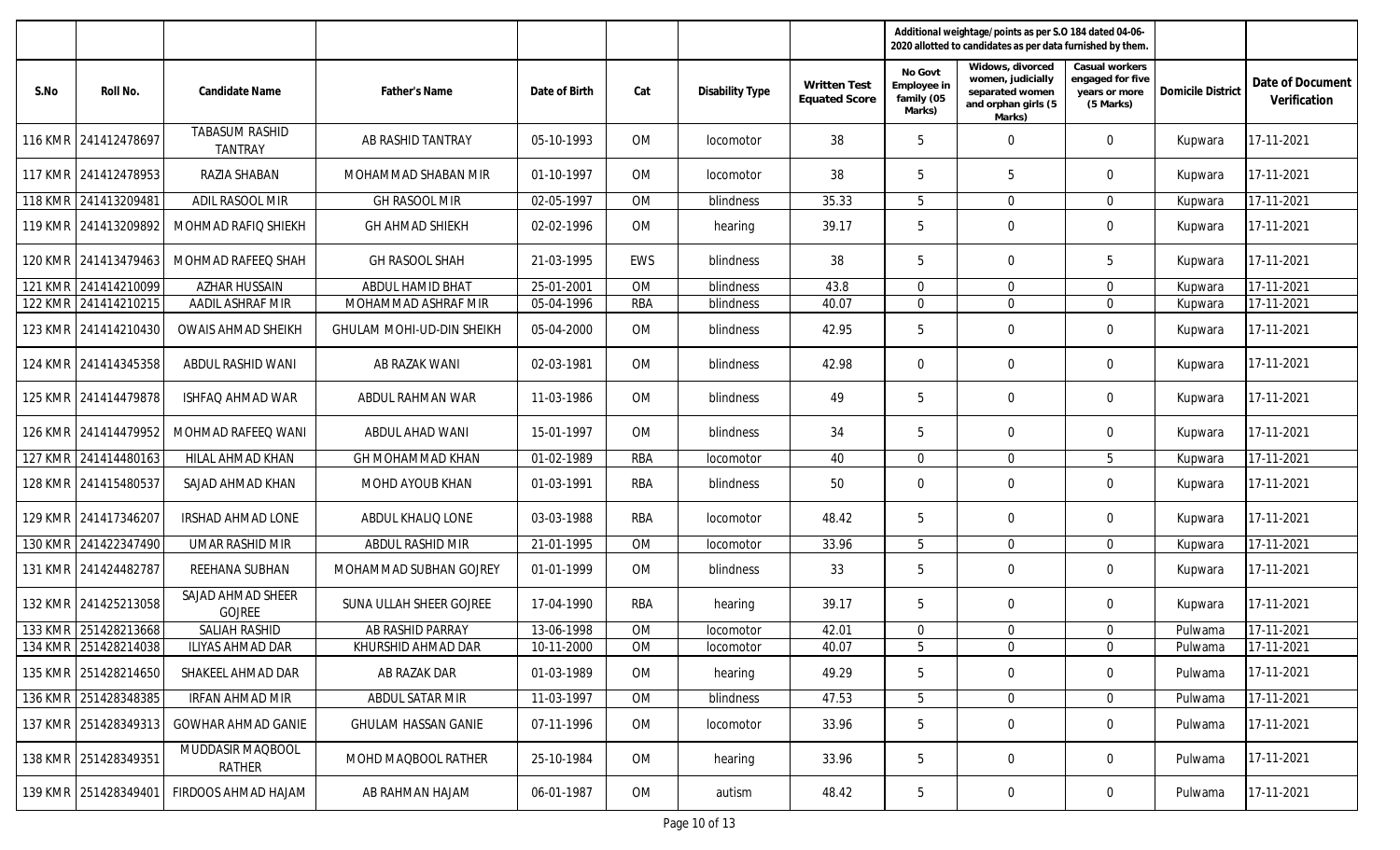|                |                      |                                         |                            |               |            |                        |                                      | Additional weightage/points as per S.O 184 dated 04-06-<br>2020 allotted to candidates as per data furnished by them. |                                                                                           |                                                                  |                          |                                  |
|----------------|----------------------|-----------------------------------------|----------------------------|---------------|------------|------------------------|--------------------------------------|-----------------------------------------------------------------------------------------------------------------------|-------------------------------------------------------------------------------------------|------------------------------------------------------------------|--------------------------|----------------------------------|
| S.No           | Roll No.             | Candidate Name                          | Father's Name              | Date of Birth | Cat        | <b>Disability Type</b> | Written Test<br><b>Equated Score</b> | No Govt<br>Employee in<br>family (05<br>Marks)                                                                        | Widows, divorced<br>women, judicially<br>separated women<br>and orphan girls (5<br>Marks) | Casual workers<br>engaged for five<br>years or more<br>(5 Marks) | <b>Domicile District</b> | Date of Document<br>Verification |
| <b>116 KMR</b> | 241412478697         | <b>TABASUM RASHID</b><br><b>TANTRAY</b> | AB RASHID TANTRAY          | 05-10-1993    | <b>OM</b>  | locomotor              | 38                                   | 5                                                                                                                     | $\mathbf 0$                                                                               | $\mathbf 0$                                                      | Kupwara                  | 17-11-2021                       |
|                | 117 KMR 241412478953 | RAZIA SHABAN                            | MOHAMMAD SHABAN MIR        | 01-10-1997    | <b>OM</b>  | locomotor              | 38                                   | 5                                                                                                                     | 5                                                                                         | $\mathbf 0$                                                      | Kupwara                  | 17-11-2021                       |
|                | 118 KMR 241413209481 | ADIL RASOOL MIR                         | <b>GH RASOOL MIR</b>       | 02-05-1997    | <b>OM</b>  | blindness              | 35.33                                | 5                                                                                                                     | $\Omega$                                                                                  | $\Omega$                                                         | Kupwara                  | 17-11-2021                       |
|                | 119 KMR 241413209892 | MOHMAD RAFIQ SHIEKH                     | <b>GH AHMAD SHIEKH</b>     | 02-02-1996    | <b>OM</b>  | hearing                | 39.17                                | 5                                                                                                                     | 0                                                                                         | $\mathbf 0$                                                      | Kupwara                  | 17-11-2021                       |
|                | 120 KMR 241413479463 | MOHMAD RAFEEQ SHAH                      | <b>GH RASOOL SHAH</b>      | 21-03-1995    | EWS        | blindness              | 38                                   | 5                                                                                                                     | $\mathbf 0$                                                                               | 5                                                                | Kupwara                  | 17-11-2021                       |
|                | 121 KMR 241414210099 | <b>AZHAR HUSSAIN</b>                    | ABDUL HAMID BHAT           | 25-01-2001    | <b>OM</b>  | blindness              | 43.8                                 | $\mathbf{0}$                                                                                                          | $\mathbf 0$                                                                               | $\Omega$                                                         | Kupwara                  | 17-11-2021                       |
| <b>122 KMR</b> | 241414210215         | AADIL ASHRAF MIR                        | MOHAMMAD ASHRAF MIR        | 05-04-1996    | <b>RBA</b> | blindness              | 40.07                                | $\mathbf{0}$                                                                                                          | $\mathbf 0$                                                                               | $\mathbf 0$                                                      | Kupwara                  | 17-11-2021                       |
|                | 123 KMR 241414210430 | <b>OWAIS AHMAD SHEIKH</b>               | GHULAM MOHI-UD-DIN SHEIKH  | 05-04-2000    | <b>OM</b>  | blindness              | 42.95                                | 5                                                                                                                     | $\mathbf 0$                                                                               | $\mathbf 0$                                                      | Kupwara                  | 17-11-2021                       |
| <b>124 KMR</b> | 241414345358         | ABDUL RASHID WANI                       | AB RAZAK WANI              | 02-03-1981    | <b>OM</b>  | blindness              | 42.98                                | $\mathbf{0}$                                                                                                          | $\mathbf 0$                                                                               | $\Omega$                                                         | Kupwara                  | 17-11-2021                       |
|                | 125 KMR 241414479878 | <b>ISHFAQ AHMAD WAR</b>                 | ABDUL RAHMAN WAR           | 11-03-1986    | <b>OM</b>  | blindness              | 49                                   | 5                                                                                                                     | $\mathbf 0$                                                                               | $\mathbf 0$                                                      | Kupwara                  | 17-11-2021                       |
|                | 126 KMR 241414479952 | MOHMAD RAFEEQ WANI                      | ABDUL AHAD WANI            | 15-01-1997    | <b>OM</b>  | blindness              | 34                                   | 5                                                                                                                     | $\mathbf 0$                                                                               | $\Omega$                                                         | Kupwara                  | 17-11-2021                       |
|                | 127 KMR 241414480163 | <b>HILAL AHMAD KHAN</b>                 | <b>GH MOHAMMAD KHAN</b>    | 01-02-1989    | <b>RBA</b> | locomotor              | 40                                   | $\mathbf{0}$                                                                                                          | $\mathbf 0$                                                                               | 5                                                                | Kupwara                  | 17-11-2021                       |
|                | 128 KMR 241415480537 | SAJAD AHMAD KHAN                        | MOHD AYOUB KHAN            | 01-03-1991    | RBA        | <b>blindness</b>       | 50                                   | $\mathbf{0}$                                                                                                          | $\mathbf 0$                                                                               | $\overline{0}$                                                   | Kupwara                  | 17-11-2021                       |
|                | 129 KMR 241417346207 | <b>IRSHAD AHMAD LONE</b>                | ABDUL KHALIQ LONE          | 03-03-1988    | RBA        | locomotor              | 48.42                                | 5                                                                                                                     | $\mathbf 0$                                                                               | $\overline{0}$                                                   | Kupwara                  | 17-11-2021                       |
| <b>130 KMR</b> | 241422347490         | UMAR RASHID MIR                         | ABDUL RASHID MIR           | 21-01-1995    | <b>OM</b>  | locomotor              | 33.96                                | 5                                                                                                                     | $\Omega$                                                                                  | $\Omega$                                                         | Kupwara                  | 17-11-2021                       |
|                | 131 KMR 241424482787 | REEHANA SUBHAN                          | MOHAMMAD SUBHAN GOJREY     | 01-01-1999    | <b>OM</b>  | <b>blindness</b>       | 33                                   | 5                                                                                                                     | $\mathbf 0$                                                                               | $\mathbf{0}$                                                     | Kupwara                  | 17-11-2021                       |
|                | 132 KMR 241425213058 | SAJAD AHMAD SHEER<br><b>GOJREE</b>      | SUNA ULLAH SHEER GOJREE    | 17-04-1990    | RBA        | hearing                | 39.17                                | 5                                                                                                                     | 0                                                                                         | $\overline{0}$                                                   | Kupwara                  | 17-11-2021                       |
|                | 133 KMR 251428213668 | <b>SALIAH RASHID</b>                    | AB RASHID PARRAY           | 13-06-1998    | OM         | locomotor              | 42.01                                | $\mathbf{0}$                                                                                                          | $\mathbf 0$                                                                               | $\Omega$                                                         | Pulwama                  | 17-11-2021                       |
|                | 134 KMR 251428214038 | ILIYAS AHMAD DAR                        | KHURSHID AHMAD DAR         | 10-11-2000    | 0M         | locomotor              | 40.07                                | 5                                                                                                                     | $\mathbf 0$                                                                               | $\overline{0}$                                                   | Pulwama                  | $17-11-2021$                     |
|                | 135 KMR 251428214650 | SHAKEEL AHMAD DAR                       | AB RAZAK DAR               | 01-03-1989    | 0M         | hearing                | 49.29                                | 5                                                                                                                     | $\mathbf 0$                                                                               | $\mathbf 0$                                                      | Pulwama                  | 17-11-2021                       |
|                | 136 KMR 251428348385 | IRFAN AHMAD MIR                         | ABDUL SATAR MIR            | 11-03-1997    | OM         | blindness              | 47.53                                | 5                                                                                                                     | $\mathbf 0$                                                                               | $\overline{0}$                                                   | Pulwama                  | 17-11-2021                       |
|                | 137 KMR 251428349313 | <b>GOWHAR AHMAD GANIE</b>               | <b>GHULAM HASSAN GANIE</b> | 07-11-1996    | OM         | locomotor              | 33.96                                | 5                                                                                                                     | 0                                                                                         | $\mathbf 0$                                                      | Pulwama                  | 17-11-2021                       |
|                | 138 KMR 251428349351 | MUDDASIR MAQBOOL<br>RATHER              | MOHD MAQBOOL RATHER        | 25-10-1984    | OM         | hearing                | 33.96                                | 5                                                                                                                     | 0                                                                                         | $\overline{0}$                                                   | Pulwama                  | 17-11-2021                       |
|                | 139 KMR 251428349401 | FIRDOOS AHMAD HAJAM                     | AB RAHMAN HAJAM            | 06-01-1987    | OM         | autism                 | 48.42                                | 5                                                                                                                     | $\mathbf 0$                                                                               | $\overline{0}$                                                   | Pulwama                  | 17-11-2021                       |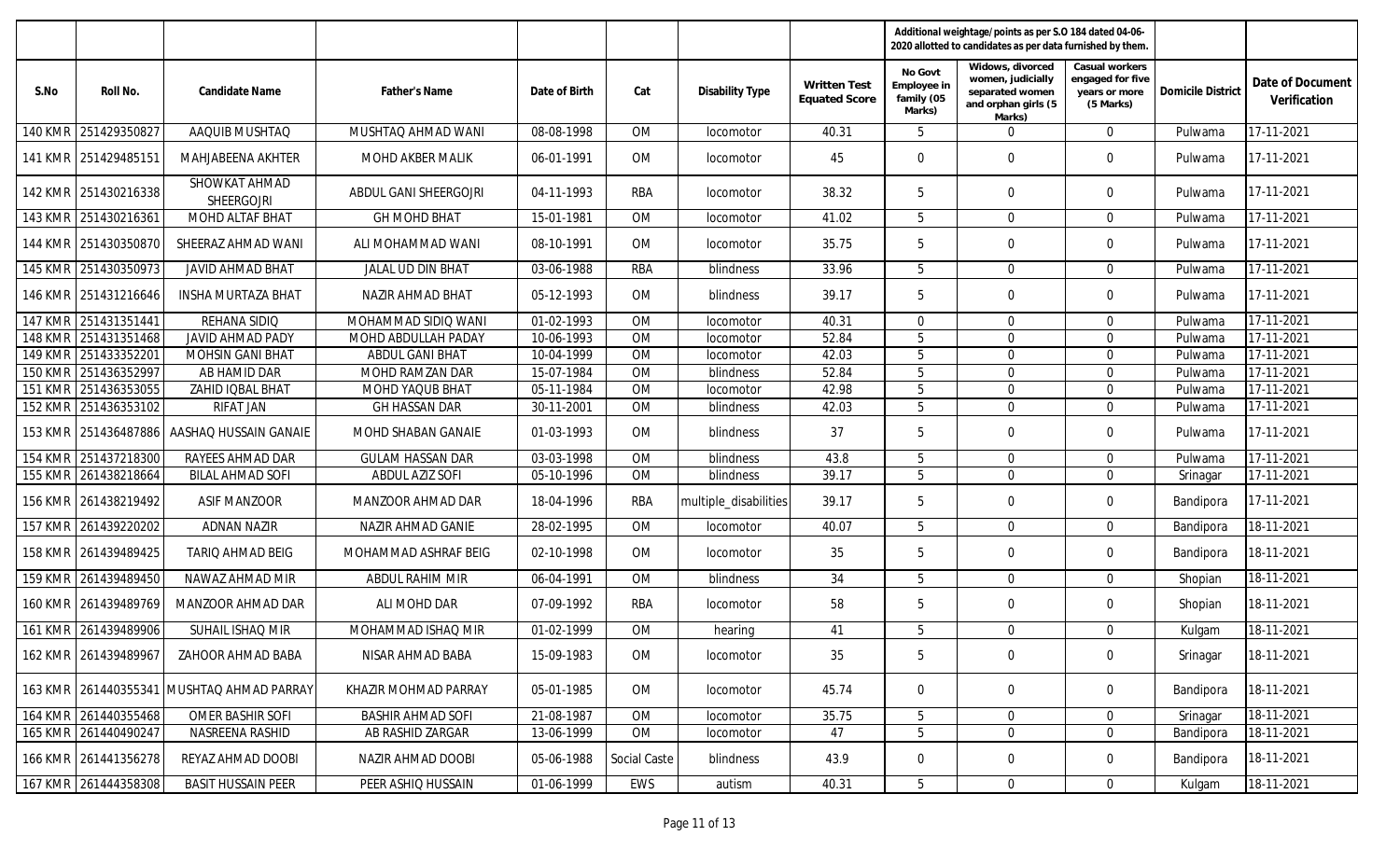|                |                      |                                           |                          |               |              |                        |                                      |                                                | Additional weightage/points as per S.O 184 dated 04-06-<br>2020 allotted to candidates as per data furnished by them. |                                                                  |                          |                                  |
|----------------|----------------------|-------------------------------------------|--------------------------|---------------|--------------|------------------------|--------------------------------------|------------------------------------------------|-----------------------------------------------------------------------------------------------------------------------|------------------------------------------------------------------|--------------------------|----------------------------------|
| S.No           | Roll No.             | Candidate Name                            | <b>Father's Name</b>     | Date of Birth | Cat          | <b>Disability Type</b> | Written Test<br><b>Equated Score</b> | No Govt<br>Employee in<br>family (05<br>Marks) | Widows, divorced<br>women, judicially<br>separated women<br>and orphan girls (5<br>Marks)                             | Casual workers<br>engaged for five<br>years or more<br>(5 Marks) | <b>Domicile District</b> | Date of Document<br>Verification |
| 140 KMR        | 251429350827         | AAQUIB MUSHTAQ                            | MUSHTAQ AHMAD WANI       | 08-08-1998    | OM           | locomotor              | 40.31                                | 5                                              | $\overline{0}$                                                                                                        | $\mathbf{0}$                                                     | Pulwama                  | 17-11-2021                       |
|                | 141 KMR 251429485151 | MAHJABEENA AKHTER                         | MOHD AKBER MALIK         | 06-01-1991    | 0M           | locomotor              | 45                                   | 0                                              | $\mathbf 0$                                                                                                           | $\mathbf 0$                                                      | Pulwama                  | 17-11-2021                       |
| <b>142 KMR</b> | 251430216338         | SHOWKAT AHMAD<br><b>SHEERGOJRI</b>        | ABDUL GANI SHEERGOJRI    | 04-11-1993    | RBA          | locomotor              | 38.32                                | 5                                              | $\mathbf 0$                                                                                                           | $\mathbf 0$                                                      | Pulwama                  | 17-11-2021                       |
| $143$ KMR      | 251430216361         | MOHD ALTAF BHAT                           | <b>GH MOHD BHAT</b>      | 15-01-1981    | <b>OM</b>    | locomotor              | 41.02                                | 5                                              | $\Omega$                                                                                                              | $\Omega$                                                         | Pulwama                  | 17-11-2021                       |
|                | 144 KMR 251430350870 | SHEERAZ AHMAD WANI                        | ALI MOHAMMAD WANI        | 08-10-1991    | <b>OM</b>    | <i>locomotor</i>       | 35.75                                | 5                                              | $\mathbf 0$                                                                                                           | $\overline{0}$                                                   | Pulwama                  | 17-11-2021                       |
| <b>145 KMR</b> | 251430350973         | <b>JAVID AHMAD BHAT</b>                   | JALAL UD DIN BHAT        | 03-06-1988    | <b>RBA</b>   | blindness              | 33.96                                | 5                                              | $\mathbf 0$                                                                                                           | $\Omega$                                                         | Pulwama                  | 17-11-2021                       |
|                | 146 KMR 251431216646 | <b>INSHA MURTAZA BHAT</b>                 | NAZIR AHMAD BHAT         | 05-12-1993    | <b>OM</b>    | <b>blindness</b>       | 39.17                                | 5                                              | $\mathbf 0$                                                                                                           | $\mathbf 0$                                                      | Pulwama                  | 17-11-2021                       |
| <b>147 KMR</b> | 251431351441         | REHANA SIDIO                              | MOHAMMAD SIDIQ WANI      | 01-02-1993    | <b>OM</b>    | locomotor              | 40.31                                | $\mathbf{0}$                                   | $\mathbf 0$                                                                                                           | $\Omega$                                                         | Pulwama                  | 17-11-2021                       |
| <b>148 KMR</b> | 251431351468         | JAVID AHMAD PADY                          | MOHD ABDULLAH PADAY      | 10-06-1993    | <b>OM</b>    | locomotor              | 52.84                                | 5                                              | $\mathbf 0$                                                                                                           | $\Omega$                                                         | Pulwama                  | 17-11-2021                       |
| <b>149 KMR</b> | 251433352201         | <b>MOHSIN GANI BHAT</b>                   | <b>ABDUL GANI BHAT</b>   | 10-04-1999    | OM           | locomotor              | 42.03                                | 5                                              | $\mathbf 0$                                                                                                           | $\Omega$                                                         | Pulwama                  | 17-11-2021                       |
| <b>150 KMR</b> | 251436352997         | AB HAMID DAR                              | MOHD RAMZAN DAR          | 15-07-1984    | <b>OM</b>    | blindness              | 52.84                                | 5                                              | $\mathbf 0$                                                                                                           | $\Omega$                                                         | Pulwama                  | 17-11-2021                       |
| <b>151 KMR</b> | 251436353055         | ZAHID IQBAL BHAT                          | MOHD YAQUB BHAT          | 05-11-1984    | <b>OM</b>    | locomotor              | 42.98                                | 5                                              | $\mathbf 0$                                                                                                           | $\Omega$                                                         | Pulwama                  | 17-11-2021                       |
| <b>152 KMR</b> | 251436353102         | <b>RIFAT JAN</b>                          | <b>GH HASSAN DAR</b>     | 30-11-2001    | <b>OM</b>    | blindness              | 42.03                                | 5                                              | $\mathbf 0$                                                                                                           | $\Omega$                                                         | Pulwama                  | 17-11-2021                       |
|                | 153 KMR 251436487886 | AASHAQ HUSSAIN GANAIE                     | MOHD SHABAN GANAIE       | 01-03-1993    | <b>OM</b>    | blindness              | 37                                   | 5                                              | $\mathbf 0$                                                                                                           | $\Omega$                                                         | Pulwama                  | 17-11-2021                       |
| <b>154 KMR</b> | 251437218300         | RAYEES AHMAD DAR                          | <b>GULAM HASSAN DAR</b>  | 03-03-1998    | OM           | <b>blindness</b>       | 43.8                                 | 5                                              | $\mathbf 0$                                                                                                           | $\overline{0}$                                                   | Pulwama                  | 17-11-2021                       |
| 155 KMR        | 261438218664         | <b>BILAL AHMAD SOFI</b>                   | <b>ABDUL AZIZ SOFI</b>   | 05-10-1996    | <b>OM</b>    | blindness              | 39.17                                | 5                                              | $\Omega$                                                                                                              | $\Omega$                                                         | Srinagar                 | 17-11-2021                       |
|                | 156 KMR 261438219492 | <b>ASIF MANZOOR</b>                       | MANZOOR AHMAD DAR        | 18-04-1996    | RBA          | multiple_disabilities  | 39.17                                | 5                                              | $\mathbf 0$                                                                                                           | $\overline{0}$                                                   | Bandipora                | 17-11-2021                       |
| <b>157 KMR</b> | 261439220202         | <b>ADNAN NAZIR</b>                        | NAZIR AHMAD GANIE        | 28-02-1995    | OM           | locomotor              | 40.07                                | 5                                              | $\Omega$                                                                                                              | $\Omega$                                                         | Bandipora                | 18-11-2021                       |
|                | 158 KMR 261439489425 | TARIQ AHMAD BEIG                          | MOHAMMAD ASHRAF BEIG     | 02-10-1998    | OM           | locomotor              | 35                                   | 5                                              | $\mathbf 0$                                                                                                           | $\mathbf{0}$                                                     | Bandipora                | 18-11-2021                       |
| <b>159 KMR</b> | 261439489450         | NAWAZ AHMAD MIR                           | ABDUL RAHIM MIR          | 06-04-1991    | <b>OM</b>    | blindness              | 34                                   | 5                                              | $\mathbf 0$                                                                                                           | $\mathbf{0}$                                                     | Shopian                  | 18-11-2021                       |
| 160 KMR        | 261439489769         | MANZOOR AHMAD DAR                         | ALI MOHD DAR             | 07-09-1992    | RBA          | locomotor              | 58                                   | 5                                              | 0                                                                                                                     | $\overline{0}$                                                   | Shopian                  | 18-11-2021                       |
|                | 161 KMR 261439489906 | SUHAIL ISHAQ MIR                          | MOHAMMAD ISHAQ MIR       | 01-02-1999    | <b>OM</b>    | hearing                | 41                                   | 5                                              | $\mathbf 0$                                                                                                           | $\Omega$                                                         | Kulgam                   | 18-11-2021                       |
|                | 162 KMR 261439489967 | ZAHOOR AHMAD BABA                         | NISAR AHMAD BABA         | 15-09-1983    | OM           | locomotor              | 35                                   | 5                                              | $\mathbf 0$                                                                                                           | $\mathbf{0}$                                                     | Srinagar                 | 18-11-2021                       |
|                |                      | 163 KMR 261440355341 MUSHTAQ AHMAD PARRAY | KHAZIR MOHMAD PARRAY     | 05-01-1985    | OM           | locomotor              | 45.74                                | $\mathbf 0$                                    | 0                                                                                                                     | $\overline{0}$                                                   | Bandipora                | 18-11-2021                       |
|                | 164 KMR 261440355468 | <b>OMER BASHIR SOFI</b>                   | <b>BASHIR AHMAD SOFI</b> | 21-08-1987    | OM           | locomotor              | 35.75                                | 5 <sup>5</sup>                                 | $\mathbf 0$                                                                                                           | $\overline{0}$                                                   | Srinagar                 | 18-11-2021                       |
|                | 165 KMR 261440490247 | NASREENA RASHID                           | AB RASHID ZARGAR         | 13-06-1999    | OM           | locomotor              | 47                                   | 5                                              | $\mathbf 0$                                                                                                           | $\mathbf 0$                                                      | Bandipora                | 18-11-2021                       |
|                | 166 KMR 261441356278 | REYAZ AHMAD DOOBI                         | NAZIR AHMAD DOOBI        | 05-06-1988    | Social Caste | blindness              | 43.9                                 | 0                                              | 0                                                                                                                     | $\mathbf 0$                                                      | Bandipora                | 18-11-2021                       |
|                | 167 KMR 261444358308 | <b>BASIT HUSSAIN PEER</b>                 | PEER ASHIQ HUSSAIN       | 01-06-1999    | EWS          | autism                 | 40.31                                | 5                                              | $\mathbf 0$                                                                                                           | $\overline{0}$                                                   | Kulgam                   | 18-11-2021                       |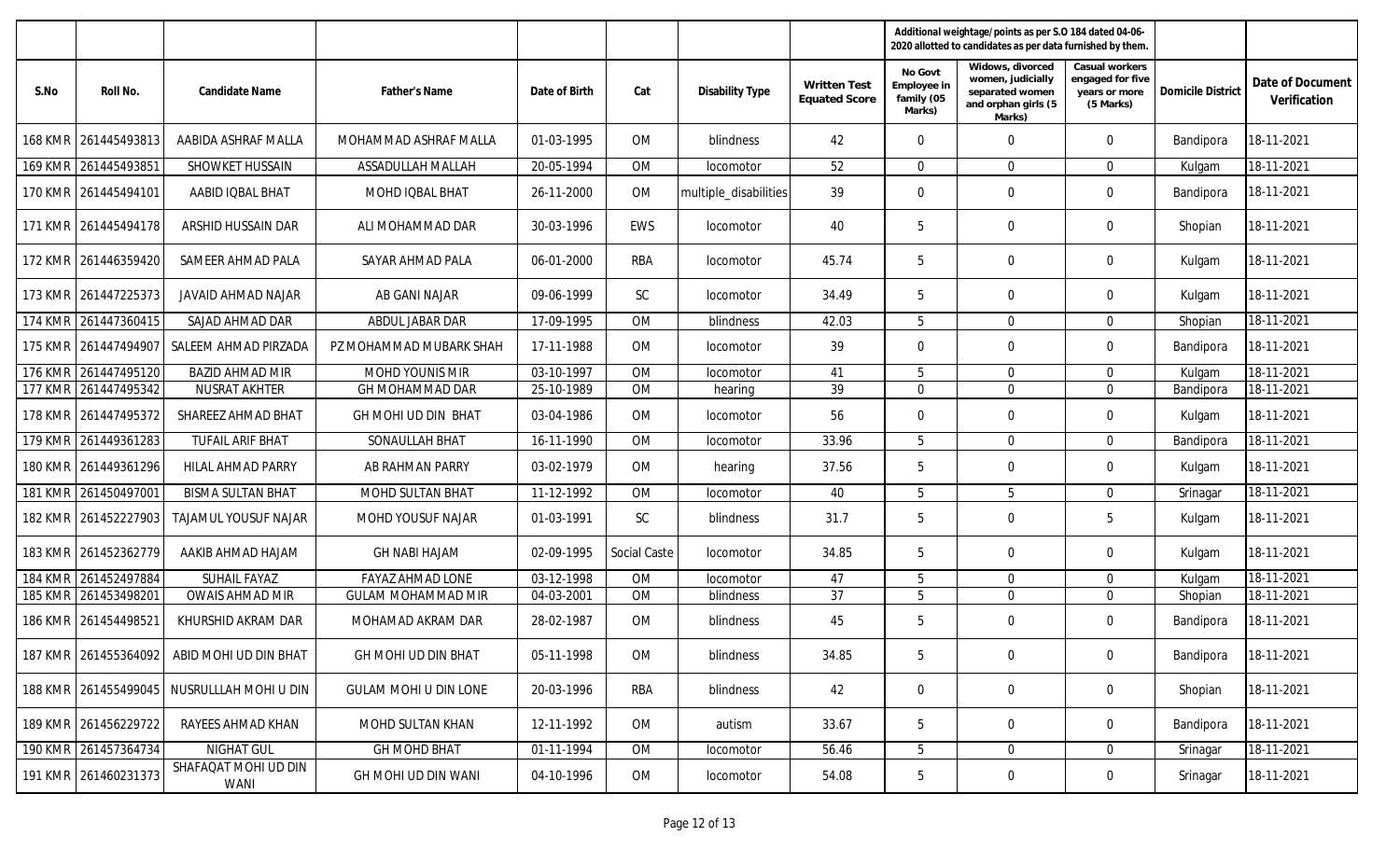|                |                      |                                            |                              |               |              |                        |                                             |                                                | Additional weightage/points as per S.O 184 dated 04-06-<br>2020 allotted to candidates as per data furnished by them. |                                                                  |                          |                                  |
|----------------|----------------------|--------------------------------------------|------------------------------|---------------|--------------|------------------------|---------------------------------------------|------------------------------------------------|-----------------------------------------------------------------------------------------------------------------------|------------------------------------------------------------------|--------------------------|----------------------------------|
| S.No           | Roll No.             | Candidate Name                             | <b>Father's Name</b>         | Date of Birth | Cat          | <b>Disability Type</b> | <b>Written Test</b><br><b>Equated Score</b> | No Govt<br>Employee in<br>family (05<br>Marks) | Widows, divorced<br>women, judicially<br>separated women<br>and orphan girls (5<br>Marks)                             | Casual workers<br>engaged for five<br>years or more<br>(5 Marks) | <b>Domicile District</b> | Date of Document<br>Verification |
| <b>168 KMR</b> | 261445493813         | AABIDA ASHRAF MALLA                        | MOHAMMAD ASHRAF MALLA        | 01-03-1995    | <b>OM</b>    | blindness              | 42                                          | $\mathbf{0}$                                   | $\Omega$                                                                                                              | $\Omega$                                                         | Bandipora                | 18-11-2021                       |
| <b>169 KMR</b> | 261445493851         | SHOWKET HUSSAIN                            | ASSADULLAH MALLAH            | 20-05-1994    | <b>OM</b>    | locomotor              | 52                                          | $\mathbf{0}$                                   | $\Omega$                                                                                                              | $\Omega$                                                         | Kulgam                   | 18-11-2021                       |
|                | 170 KMR 261445494101 | AABID IQBAL BHAT                           | MOHD IQBAL BHAT              | 26-11-2000    | OM           | multiple_disabilities  | 39                                          | $\mathbf 0$                                    | $\mathbf 0$                                                                                                           | $\overline{0}$                                                   | Bandipora                | 18-11-2021                       |
|                | 171 KMR 261445494178 | ARSHID HUSSAIN DAR                         | ALI MOHAMMAD DAR             | 30-03-1996    | EWS          | <i>locomotor</i>       | 40                                          | 5                                              | $\mathbf 0$                                                                                                           | $\overline{0}$                                                   | Shopian                  | 18-11-2021                       |
|                | 172 KMR 261446359420 | SAMEER AHMAD PALA                          | SAYAR AHMAD PALA             | 06-01-2000    | RBA          | locomotor              | 45.74                                       | 5                                              | 0                                                                                                                     | $\mathbf 0$                                                      | Kulgam                   | 18-11-2021                       |
|                | 173 KMR 261447225373 | JAVAID AHMAD NAJAR                         | AB GANI NAJAR                | 09-06-1999    | <b>SC</b>    | <i>locomotor</i>       | 34.49                                       | 5                                              | $\mathbf 0$                                                                                                           | $\Omega$                                                         | Kulgam                   | 18-11-2021                       |
| <b>174 KMR</b> | 261447360415         | SAJAD AHMAD DAR                            | ABDUL JABAR DAR              | 17-09-1995    | <b>OM</b>    | blindness              | 42.03                                       | 5                                              | $\mathbf 0$                                                                                                           | $\Omega$                                                         | Shopian                  | 18-11-2021                       |
| <b>175 KMR</b> | 261447494907         | SALEEM AHMAD PIRZADA                       | PZ MOHAMMAD MUBARK SHAH      | 17-11-1988    | <b>OM</b>    | <i>locomotor</i>       | 39                                          | $\mathbf{0}$                                   | $\Omega$                                                                                                              | $\Omega$                                                         | Bandipora                | 18-11-2021                       |
| <b>176 KMR</b> | 261447495120         | <b>BAZID AHMAD MIR</b>                     | <b>MOHD YOUNIS MIR</b>       | 03-10-1997    | <b>OM</b>    | locomotor              | 41                                          | 5                                              | $\mathbf 0$                                                                                                           | $\Omega$                                                         | Kulgam                   | 18-11-2021                       |
| 177 KMR        | 261447495342         | <b>NUSRAT AKHTER</b>                       | GH MOHAMMAD DAR              | 25-10-1989    | OM           | hearing                | 39                                          | $\overline{0}$                                 | $\mathbf{0}$                                                                                                          | $\Omega$                                                         | Bandipora                | 18-11-2021                       |
|                | 178 KMR 261447495372 | SHAREEZ AHMAD BHAT                         | GH MOHI UD DIN BHAT          | 03-04-1986    | OM           | locomotor              | 56                                          | $\mathbf{0}$                                   | $\Omega$                                                                                                              | $\Omega$                                                         | Kulgam                   | 18-11-2021                       |
| 179 KMR        | 261449361283         | <b>TUFAIL ARIF BHAT</b>                    | SONAULLAH BHAT               | 16-11-1990    | <b>OM</b>    | locomotor              | 33.96                                       | 5                                              | $\Omega$                                                                                                              | $\Omega$                                                         | Bandipora                | 18-11-2021                       |
|                | 180 KMR 261449361296 | <b>HILAL AHMAD PARRY</b>                   | AB RAHMAN PARRY              | 03-02-1979    | OM           | hearing                | 37.56                                       | 5                                              | $\mathbf 0$                                                                                                           | $\overline{0}$                                                   | Kulgam                   | 18-11-2021                       |
| <b>181 KMR</b> | 261450497001         | <b>BISMA SULTAN BHAT</b>                   | MOHD SULTAN BHAT             | 11-12-1992    | <b>OM</b>    | locomotor              | 40                                          | 5                                              | 5                                                                                                                     | $\Omega$                                                         | Srinagar                 | 18-11-2021                       |
|                | 182 KMR 261452227903 | TAJAMUL YOUSUF NAJAR                       | MOHD YOUSUF NAJAR            | 01-03-1991    | SC           | blindness              | 31.7                                        | 5                                              | $\mathbf 0$                                                                                                           | 5                                                                | Kulgam                   | 18-11-2021                       |
|                | 183 KMR 261452362779 | AAKIB AHMAD HAJAM                          | <b>GH NABI HAJAM</b>         | 02-09-1995    | Social Caste | <i>locomotor</i>       | 34.85                                       | 5                                              | $\mathbf 0$                                                                                                           | $\mathbf 0$                                                      | Kulgam                   | 18-11-2021                       |
| <b>184 KMR</b> | 261452497884         | <b>SUHAIL FAYAZ</b>                        | <b>FAYAZ AHMAD LONE</b>      | 03-12-1998    | OM           | locomotor              | 47                                          | 5                                              | $\mathbf 0$                                                                                                           | $\Omega$                                                         | Kulgam                   | 18-11-2021                       |
| <b>185 KMR</b> | 261453498201         | <b>OWAIS AHMAD MIR</b>                     | <b>GULAM MOHAMMAD MIR</b>    | 04-03-2001    | <b>OM</b>    | blindness              | 37                                          | 5                                              | $\mathbf 0$                                                                                                           | $\overline{0}$                                                   | Shopian                  | 18-11-2021                       |
| <b>186 KMR</b> | 261454498521         | KHURSHID AKRAM DAR                         | MOHAMAD AKRAM DAR            | 28-02-1987    | <b>OM</b>    | blindness              | 45                                          | 5                                              | $\mathbf 0$                                                                                                           | $\Omega$                                                         | Bandipora                | 18-11-2021                       |
|                |                      | 187 KMR 261455364092 ABID MOHI UD DIN BHAT | GH MOHI UD DIN BHAT          | 05-11-1998    | OM           | blindness              | 34.85                                       | 5                                              | $\mathbf 0$                                                                                                           | $\mathbf 0$                                                      | Bandipora                | 18-11-2021                       |
|                |                      | 188 KMR 261455499045 NUSRULLLAH MOHI U DIN | <b>GULAM MOHI U DIN LONE</b> | 20-03-1996    | RBA          | blindness              | 42                                          | $\overline{0}$                                 | $\mathbf 0$                                                                                                           | $\overline{0}$                                                   | Shopian                  | 18-11-2021                       |
|                | 189 KMR 261456229722 | RAYEES AHMAD KHAN                          | MOHD SULTAN KHAN             | 12-11-1992    | OM           | autism                 | 33.67                                       | 5                                              | 0                                                                                                                     | $\mathbf 0$                                                      | Bandipora                | 18-11-2021                       |
|                | 190 KMR 261457364734 | NIGHAT GUL                                 | GH MOHD BHAT                 | 01-11-1994    | OM           | locomotor              | 56.46                                       | $5\phantom{.0}$                                | $\mathbf 0$                                                                                                           | $\overline{0}$                                                   | Srinagar                 | 18-11-2021                       |
|                | 191 KMR 261460231373 | SHAFAQAT MOHI UD DIN<br>WANI               | GH MOHI UD DIN WANI          | 04-10-1996    | OM           | locomotor              | 54.08                                       | 5                                              | $\mathbf 0$                                                                                                           | $\overline{0}$                                                   | Srinagar                 | 18-11-2021                       |